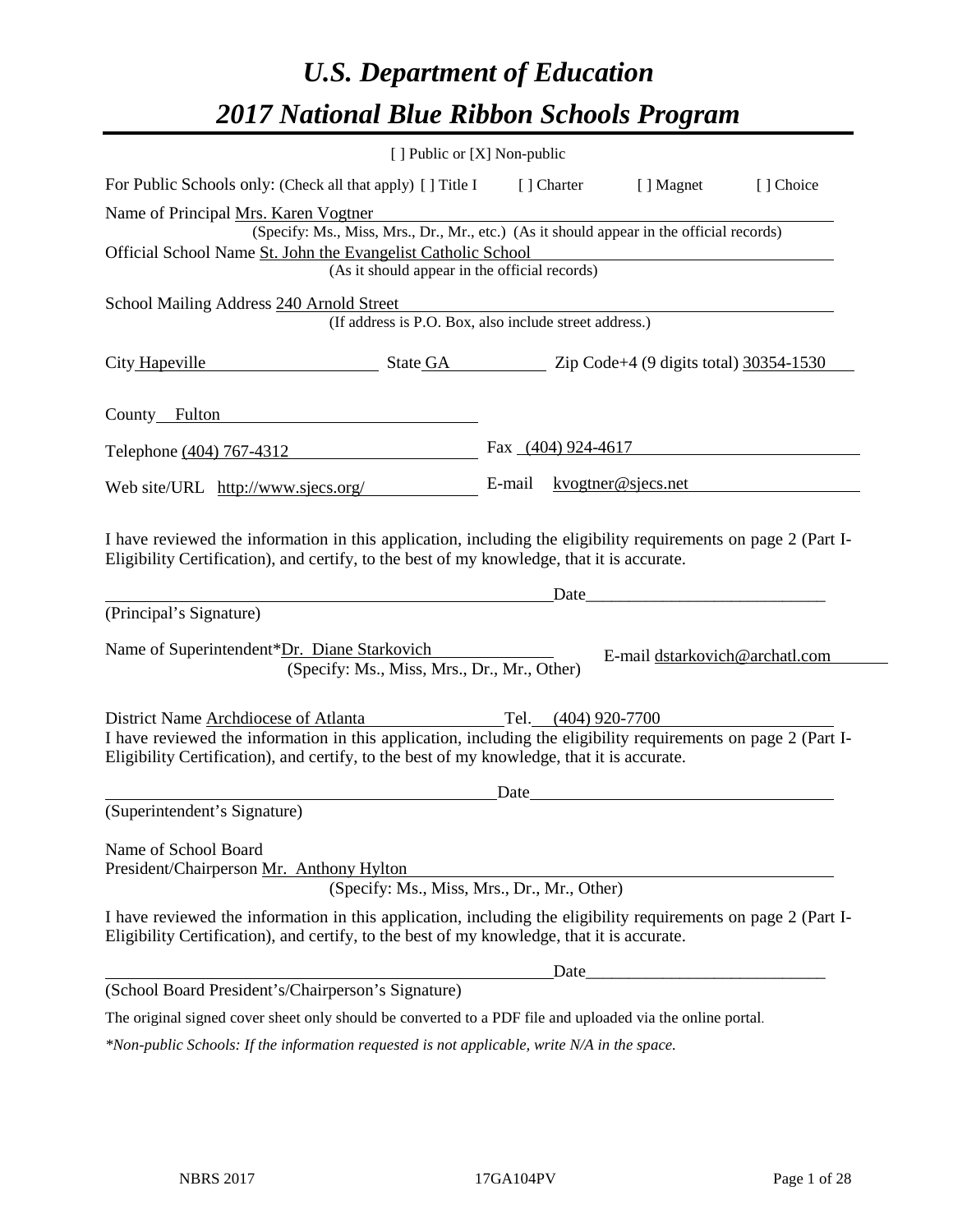# *U.S. Department of Education 2017 National Blue Ribbon Schools Program*

|                                                                                                                                                                                                              | [ ] Public or [X] Non-public                                                             |      |                     |                                                                                                                      |           |
|--------------------------------------------------------------------------------------------------------------------------------------------------------------------------------------------------------------|------------------------------------------------------------------------------------------|------|---------------------|----------------------------------------------------------------------------------------------------------------------|-----------|
| For Public Schools only: (Check all that apply) [] Title I                                                                                                                                                   |                                                                                          |      | [ ] Charter         | [ ] Magnet                                                                                                           | [] Choice |
| Name of Principal Mrs. Karen Vogtner                                                                                                                                                                         |                                                                                          |      |                     |                                                                                                                      |           |
|                                                                                                                                                                                                              | (Specify: Ms., Miss, Mrs., Dr., Mr., etc.) (As it should appear in the official records) |      |                     |                                                                                                                      |           |
| Official School Name St. John the Evangelist Catholic School                                                                                                                                                 | (As it should appear in the official records)                                            |      |                     |                                                                                                                      |           |
|                                                                                                                                                                                                              |                                                                                          |      |                     |                                                                                                                      |           |
| School Mailing Address 240 Arnold Street                                                                                                                                                                     | (If address is P.O. Box, also include street address.)                                   |      |                     |                                                                                                                      |           |
| City Hapeville State GA Zip Code+4 (9 digits total) 30354-1530                                                                                                                                               |                                                                                          |      |                     |                                                                                                                      |           |
| County_Fulton                                                                                                                                                                                                |                                                                                          |      |                     |                                                                                                                      |           |
| Telephone (404) 767-4312                                                                                                                                                                                     |                                                                                          |      |                     | Fax $(404)$ 924-4617                                                                                                 |           |
| Web site/URL http://www.sjecs.org/                                                                                                                                                                           |                                                                                          |      |                     | E-mail $kvog \text{there} \ \mathcal{O}$ sjecs.net                                                                   |           |
| (Principal's Signature)                                                                                                                                                                                      |                                                                                          |      |                     |                                                                                                                      |           |
| Name of Superintendent*Dr. Diane Starkovich                                                                                                                                                                  | (Specify: Ms., Miss, Mrs., Dr., Mr., Other)                                              |      |                     | E-mail dstarkovich@archatl.com                                                                                       |           |
| District Name Archdiocese of Atlanta                                                                                                                                                                         |                                                                                          |      | Tel. (404) 920-7700 |                                                                                                                      |           |
| I have reviewed the information in this application, including the eligibility requirements on page 2 (Part I-<br>Eligibility Certification), and certify, to the best of my knowledge, that it is accurate. |                                                                                          |      |                     |                                                                                                                      |           |
|                                                                                                                                                                                                              |                                                                                          | Date |                     | <u> 1980 - Jan Samuel Barbara, político establecente de la propia de la propia de la propia de la propia de la p</u> |           |
| (Superintendent's Signature)                                                                                                                                                                                 |                                                                                          |      |                     |                                                                                                                      |           |
| Name of School Board<br>President/Chairperson Mr. Anthony Hylton                                                                                                                                             | (Specify: Ms., Miss, Mrs., Dr., Mr., Other)                                              |      |                     |                                                                                                                      |           |
| I have reviewed the information in this application, including the eligibility requirements on page 2 (Part I-<br>Eligibility Certification), and certify, to the best of my knowledge, that it is accurate. |                                                                                          |      |                     |                                                                                                                      |           |
|                                                                                                                                                                                                              |                                                                                          |      | Date                |                                                                                                                      |           |
| (School Board President's/Chairperson's Signature)                                                                                                                                                           |                                                                                          |      |                     |                                                                                                                      |           |
| The original signed cover sheet only should be converted to a PDF file and uploaded via the online portal.                                                                                                   |                                                                                          |      |                     |                                                                                                                      |           |
| *Non-public Schools: If the information requested is not applicable, write N/A in the space.                                                                                                                 |                                                                                          |      |                     |                                                                                                                      |           |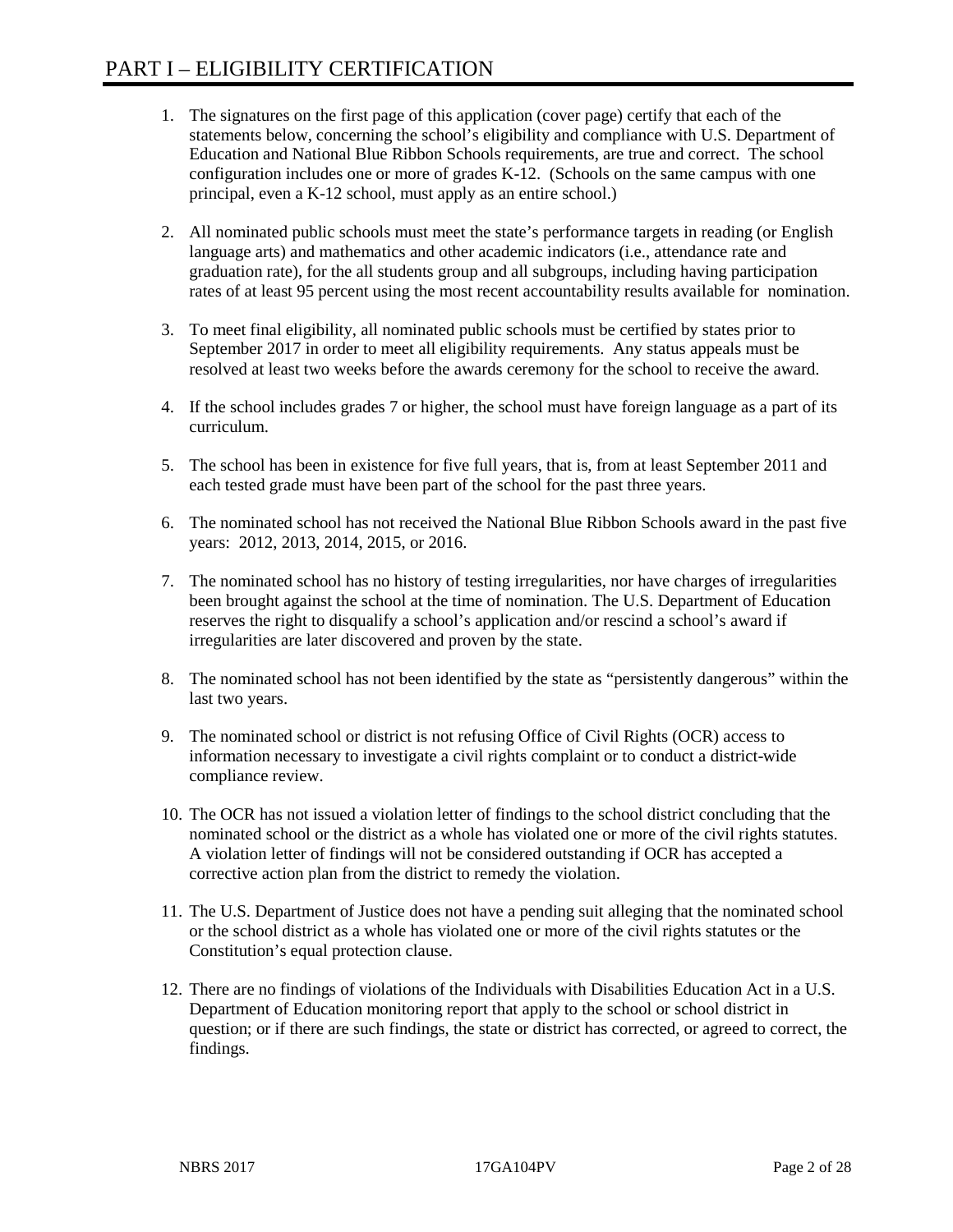- 1. The signatures on the first page of this application (cover page) certify that each of the statements below, concerning the school's eligibility and compliance with U.S. Department of Education and National Blue Ribbon Schools requirements, are true and correct. The school configuration includes one or more of grades K-12. (Schools on the same campus with one principal, even a K-12 school, must apply as an entire school.)
- 2. All nominated public schools must meet the state's performance targets in reading (or English language arts) and mathematics and other academic indicators (i.e., attendance rate and graduation rate), for the all students group and all subgroups, including having participation rates of at least 95 percent using the most recent accountability results available for nomination.
- 3. To meet final eligibility, all nominated public schools must be certified by states prior to September 2017 in order to meet all eligibility requirements. Any status appeals must be resolved at least two weeks before the awards ceremony for the school to receive the award.
- 4. If the school includes grades 7 or higher, the school must have foreign language as a part of its curriculum.
- 5. The school has been in existence for five full years, that is, from at least September 2011 and each tested grade must have been part of the school for the past three years.
- 6. The nominated school has not received the National Blue Ribbon Schools award in the past five years: 2012, 2013, 2014, 2015, or 2016.
- 7. The nominated school has no history of testing irregularities, nor have charges of irregularities been brought against the school at the time of nomination. The U.S. Department of Education reserves the right to disqualify a school's application and/or rescind a school's award if irregularities are later discovered and proven by the state.
- 8. The nominated school has not been identified by the state as "persistently dangerous" within the last two years.
- 9. The nominated school or district is not refusing Office of Civil Rights (OCR) access to information necessary to investigate a civil rights complaint or to conduct a district-wide compliance review.
- 10. The OCR has not issued a violation letter of findings to the school district concluding that the nominated school or the district as a whole has violated one or more of the civil rights statutes. A violation letter of findings will not be considered outstanding if OCR has accepted a corrective action plan from the district to remedy the violation.
- 11. The U.S. Department of Justice does not have a pending suit alleging that the nominated school or the school district as a whole has violated one or more of the civil rights statutes or the Constitution's equal protection clause.
- 12. There are no findings of violations of the Individuals with Disabilities Education Act in a U.S. Department of Education monitoring report that apply to the school or school district in question; or if there are such findings, the state or district has corrected, or agreed to correct, the findings.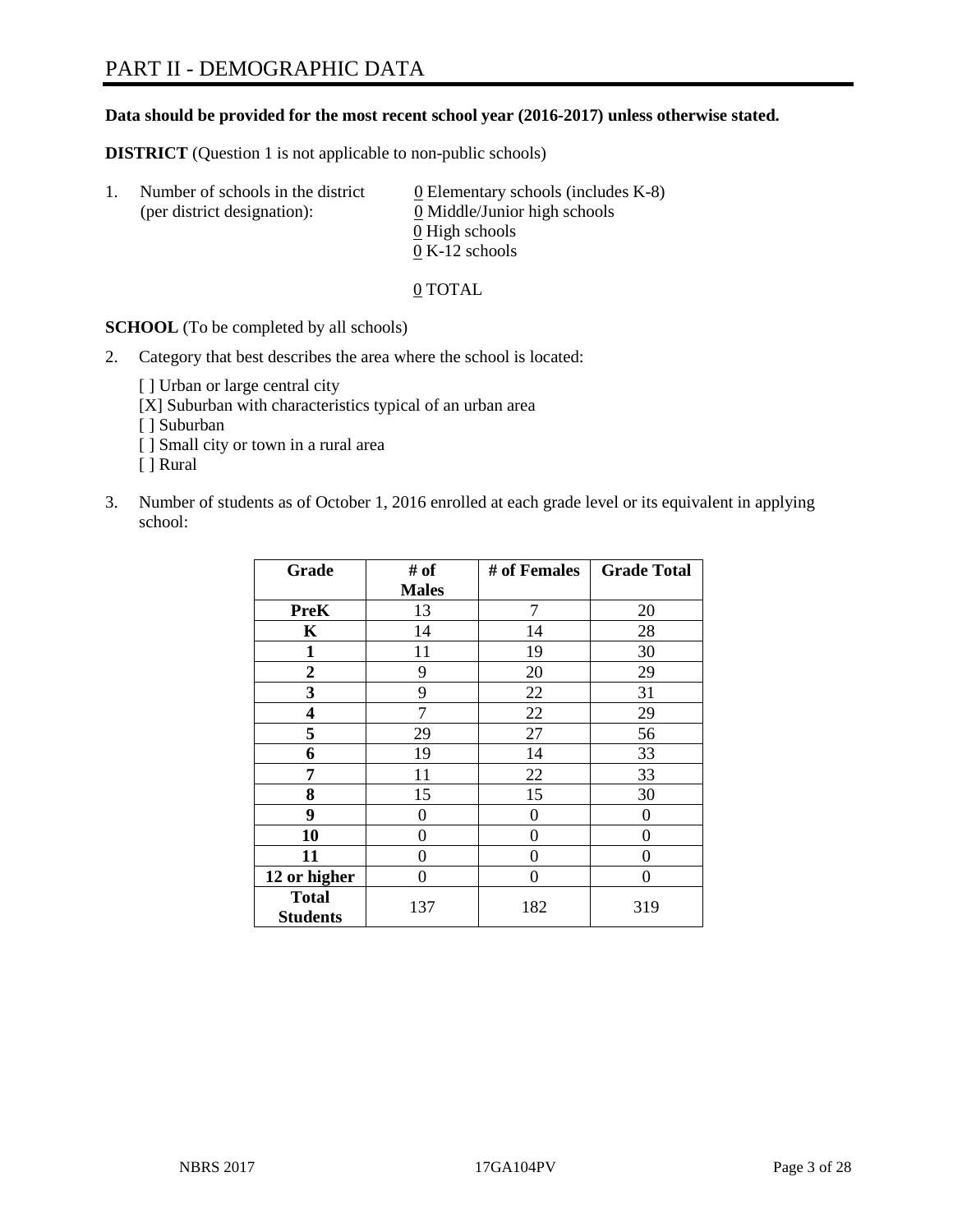#### **Data should be provided for the most recent school year (2016-2017) unless otherwise stated.**

**DISTRICT** (Question 1 is not applicable to non-public schools)

| -1. | Number of schools in the district<br>(per district designation): | $\underline{0}$ Elementary schools (includes K-8)<br>0 Middle/Junior high schools |
|-----|------------------------------------------------------------------|-----------------------------------------------------------------------------------|
|     |                                                                  | 0 High schools                                                                    |
|     |                                                                  | $0 K-12$ schools                                                                  |

0 TOTAL

**SCHOOL** (To be completed by all schools)

2. Category that best describes the area where the school is located:

[] Urban or large central city

[X] Suburban with characteristics typical of an urban area

[ ] Suburban

- [ ] Small city or town in a rural area
- [ ] Rural
- 3. Number of students as of October 1, 2016 enrolled at each grade level or its equivalent in applying school:

| Grade                           | # of         | # of Females | <b>Grade Total</b> |
|---------------------------------|--------------|--------------|--------------------|
|                                 | <b>Males</b> |              |                    |
| <b>PreK</b>                     | 13           | 7            | 20                 |
| $\mathbf K$                     | 14           | 14           | 28                 |
| $\mathbf{1}$                    | 11           | 19           | 30                 |
| $\boldsymbol{2}$                | 9            | 20           | 29                 |
| 3                               | 9            | 22           | 31                 |
| 4                               | 7            | 22           | 29                 |
| 5                               | 29           | 27           | 56                 |
| 6                               | 19           | 14           | 33                 |
| 7                               | 11           | 22           | 33                 |
| 8                               | 15           | 15           | 30                 |
| 9                               | 0            | 0            | $\theta$           |
| 10                              | 0            | 0            | $\Omega$           |
| 11                              | 0            | 0            | $\Omega$           |
| 12 or higher                    | 0            | 0            | 0                  |
| <b>Total</b><br><b>Students</b> | 137          | 182          | 319                |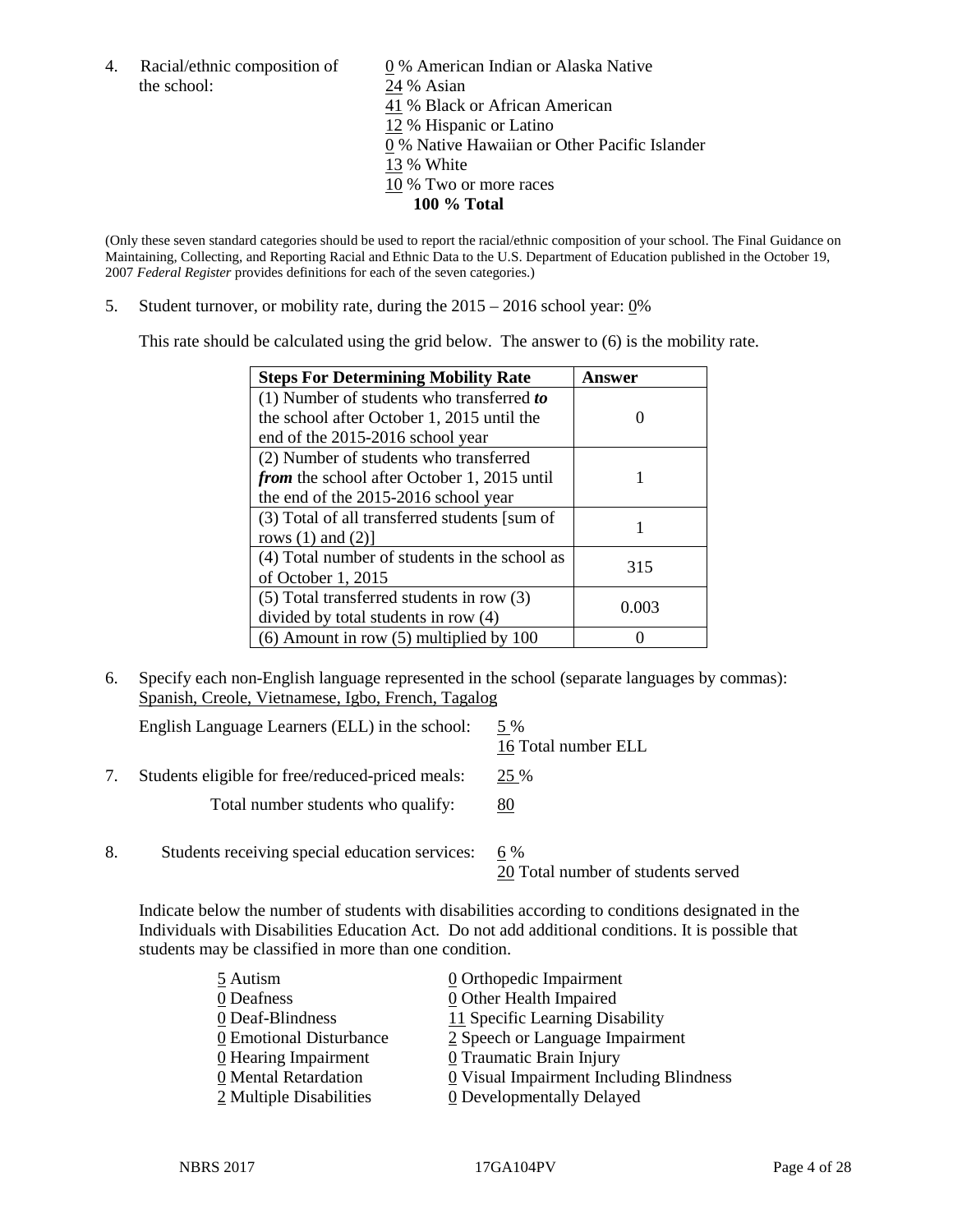the school: 24 % Asian

4. Racial/ethnic composition of  $\qquad 0\%$  American Indian or Alaska Native 41 % Black or African American 12 % Hispanic or Latino 0 % Native Hawaiian or Other Pacific Islander 13 % White 10 % Two or more races **100 % Total**

(Only these seven standard categories should be used to report the racial/ethnic composition of your school. The Final Guidance on Maintaining, Collecting, and Reporting Racial and Ethnic Data to the U.S. Department of Education published in the October 19, 2007 *Federal Register* provides definitions for each of the seven categories.)

5. Student turnover, or mobility rate, during the 2015 – 2016 school year: 0%

This rate should be calculated using the grid below. The answer to (6) is the mobility rate.

| <b>Steps For Determining Mobility Rate</b>         | Answer |
|----------------------------------------------------|--------|
| $(1)$ Number of students who transferred to        |        |
| the school after October 1, 2015 until the         |        |
| end of the 2015-2016 school year                   |        |
| (2) Number of students who transferred             |        |
| <i>from</i> the school after October 1, 2015 until |        |
| the end of the 2015-2016 school year               |        |
| (3) Total of all transferred students [sum of      |        |
| rows $(1)$ and $(2)$ ]                             |        |
| (4) Total number of students in the school as      | 315    |
| of October 1, 2015                                 |        |
| $(5)$ Total transferred students in row $(3)$      |        |
| divided by total students in row (4)               | 0.003  |
| $(6)$ Amount in row $(5)$ multiplied by 100        |        |

6. Specify each non-English language represented in the school (separate languages by commas): Spanish, Creole, Vietnamese, Igbo, French, Tagalog

|    | English Language Learners (ELL) in the school:   | 5 %<br>16 Total number ELL                |
|----|--------------------------------------------------|-------------------------------------------|
|    | Students eligible for free/reduced-priced meals: | 25 %                                      |
|    | Total number students who qualify:               | 80                                        |
| 8. | Students receiving special education services:   | 6 %<br>20 Total number of students served |

Indicate below the number of students with disabilities according to conditions designated in the Individuals with Disabilities Education Act. Do not add additional conditions. It is possible that students may be classified in more than one condition.

| 0 Visual Impairment Including Blindness |
|-----------------------------------------|
|                                         |
|                                         |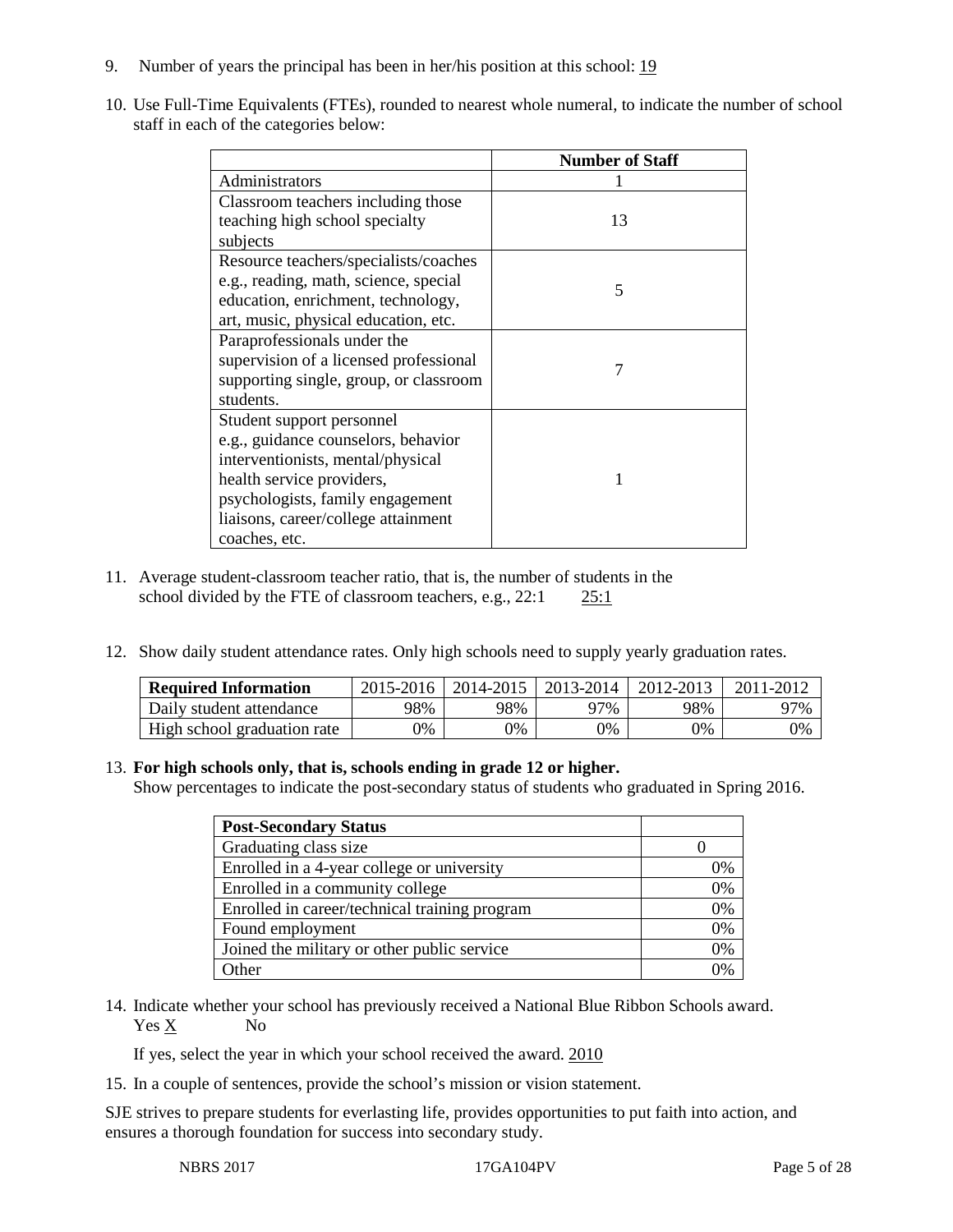- 9. Number of years the principal has been in her/his position at this school: 19
- 10. Use Full-Time Equivalents (FTEs), rounded to nearest whole numeral, to indicate the number of school staff in each of the categories below:

|                                        | <b>Number of Staff</b> |
|----------------------------------------|------------------------|
| Administrators                         |                        |
| Classroom teachers including those     |                        |
| teaching high school specialty         | 13                     |
| subjects                               |                        |
| Resource teachers/specialists/coaches  |                        |
| e.g., reading, math, science, special  | 5                      |
| education, enrichment, technology,     |                        |
| art, music, physical education, etc.   |                        |
| Paraprofessionals under the            |                        |
| supervision of a licensed professional |                        |
| supporting single, group, or classroom |                        |
| students.                              |                        |
| Student support personnel              |                        |
| e.g., guidance counselors, behavior    |                        |
| interventionists, mental/physical      |                        |
| health service providers,              |                        |
| psychologists, family engagement       |                        |
| liaisons, career/college attainment    |                        |
| coaches, etc.                          |                        |

- 11. Average student-classroom teacher ratio, that is, the number of students in the school divided by the FTE of classroom teachers, e.g., 22:1 25:1
- 12. Show daily student attendance rates. Only high schools need to supply yearly graduation rates.

| <b>Required Information</b> | $2015 - 2016$ |     | 2014-2015   2013-2014 | 2012-2013 | 2011-2012 |
|-----------------------------|---------------|-----|-----------------------|-----------|-----------|
| Daily student attendance    | 98%           | 98% | 97%                   | 98%       | 97%       |
| High school graduation rate | 9%            | 0%  | 0%                    | 9%        | 0%        |

# 13. **For high schools only, that is, schools ending in grade 12 or higher.**

Show percentages to indicate the post-secondary status of students who graduated in Spring 2016.

| <b>Post-Secondary Status</b>                  |    |
|-----------------------------------------------|----|
| Graduating class size                         |    |
| Enrolled in a 4-year college or university    | 0% |
| Enrolled in a community college               | 0% |
| Enrolled in career/technical training program | 0% |
| Found employment                              | 0% |
| Joined the military or other public service   | 0% |
| )ther                                         | 0% |

14. Indicate whether your school has previously received a National Blue Ribbon Schools award. Yes X No

If yes, select the year in which your school received the award. 2010

15. In a couple of sentences, provide the school's mission or vision statement.

SJE strives to prepare students for everlasting life, provides opportunities to put faith into action, and ensures a thorough foundation for success into secondary study.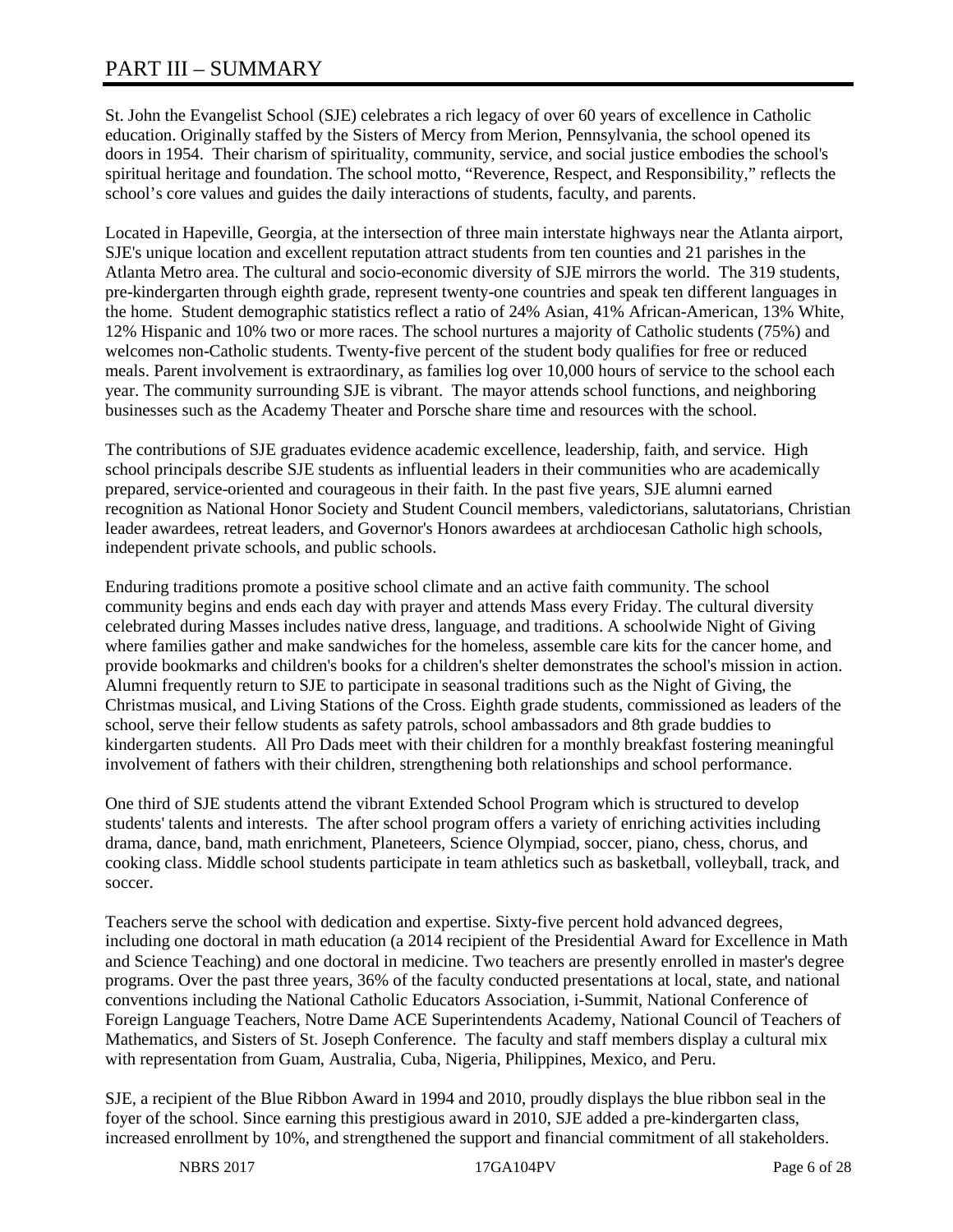# PART III – SUMMARY

St. John the Evangelist School (SJE) celebrates a rich legacy of over 60 years of excellence in Catholic education. Originally staffed by the Sisters of Mercy from Merion, Pennsylvania, the school opened its doors in 1954. Their charism of spirituality, community, service, and social justice embodies the school's spiritual heritage and foundation. The school motto, "Reverence, Respect, and Responsibility," reflects the school's core values and guides the daily interactions of students, faculty, and parents.

Located in Hapeville, Georgia, at the intersection of three main interstate highways near the Atlanta airport, SJE's unique location and excellent reputation attract students from ten counties and 21 parishes in the Atlanta Metro area. The cultural and socio-economic diversity of SJE mirrors the world. The 319 students, pre-kindergarten through eighth grade, represent twenty-one countries and speak ten different languages in the home. Student demographic statistics reflect a ratio of 24% Asian, 41% African-American, 13% White, 12% Hispanic and 10% two or more races. The school nurtures a majority of Catholic students (75%) and welcomes non-Catholic students. Twenty-five percent of the student body qualifies for free or reduced meals. Parent involvement is extraordinary, as families log over 10,000 hours of service to the school each year. The community surrounding SJE is vibrant. The mayor attends school functions, and neighboring businesses such as the Academy Theater and Porsche share time and resources with the school.

The contributions of SJE graduates evidence academic excellence, leadership, faith, and service. High school principals describe SJE students as influential leaders in their communities who are academically prepared, service-oriented and courageous in their faith. In the past five years, SJE alumni earned recognition as National Honor Society and Student Council members, valedictorians, salutatorians, Christian leader awardees, retreat leaders, and Governor's Honors awardees at archdiocesan Catholic high schools, independent private schools, and public schools.

Enduring traditions promote a positive school climate and an active faith community. The school community begins and ends each day with prayer and attends Mass every Friday. The cultural diversity celebrated during Masses includes native dress, language, and traditions. A schoolwide Night of Giving where families gather and make sandwiches for the homeless, assemble care kits for the cancer home, and provide bookmarks and children's books for a children's shelter demonstrates the school's mission in action. Alumni frequently return to SJE to participate in seasonal traditions such as the Night of Giving, the Christmas musical, and Living Stations of the Cross. Eighth grade students, commissioned as leaders of the school, serve their fellow students as safety patrols, school ambassadors and 8th grade buddies to kindergarten students. All Pro Dads meet with their children for a monthly breakfast fostering meaningful involvement of fathers with their children, strengthening both relationships and school performance.

One third of SJE students attend the vibrant Extended School Program which is structured to develop students' talents and interests. The after school program offers a variety of enriching activities including drama, dance, band, math enrichment, Planeteers, Science Olympiad, soccer, piano, chess, chorus, and cooking class. Middle school students participate in team athletics such as basketball, volleyball, track, and soccer.

Teachers serve the school with dedication and expertise. Sixty-five percent hold advanced degrees, including one doctoral in math education (a 2014 recipient of the Presidential Award for Excellence in Math and Science Teaching) and one doctoral in medicine. Two teachers are presently enrolled in master's degree programs. Over the past three years, 36% of the faculty conducted presentations at local, state, and national conventions including the National Catholic Educators Association, i-Summit, National Conference of Foreign Language Teachers, Notre Dame ACE Superintendents Academy, National Council of Teachers of Mathematics, and Sisters of St. Joseph Conference. The faculty and staff members display a cultural mix with representation from Guam, Australia, Cuba, Nigeria, Philippines, Mexico, and Peru.

SJE, a recipient of the Blue Ribbon Award in 1994 and 2010, proudly displays the blue ribbon seal in the foyer of the school. Since earning this prestigious award in 2010, SJE added a pre-kindergarten class, increased enrollment by 10%, and strengthened the support and financial commitment of all stakeholders.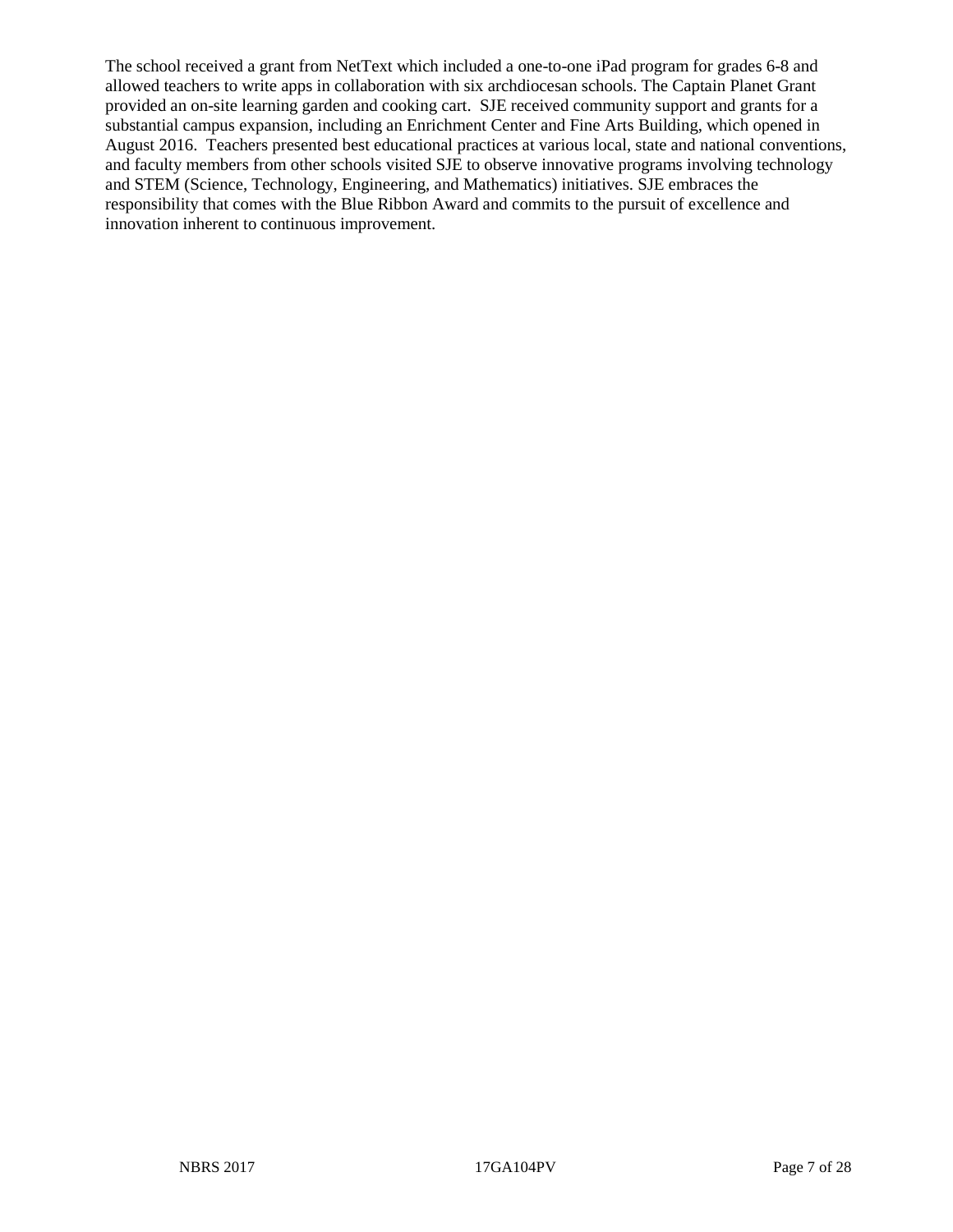The school received a grant from NetText which included a one-to-one iPad program for grades 6-8 and allowed teachers to write apps in collaboration with six archdiocesan schools. The Captain Planet Grant provided an on-site learning garden and cooking cart. SJE received community support and grants for a substantial campus expansion, including an Enrichment Center and Fine Arts Building, which opened in August 2016. Teachers presented best educational practices at various local, state and national conventions, and faculty members from other schools visited SJE to observe innovative programs involving technology and STEM (Science, Technology, Engineering, and Mathematics) initiatives. SJE embraces the responsibility that comes with the Blue Ribbon Award and commits to the pursuit of excellence and innovation inherent to continuous improvement.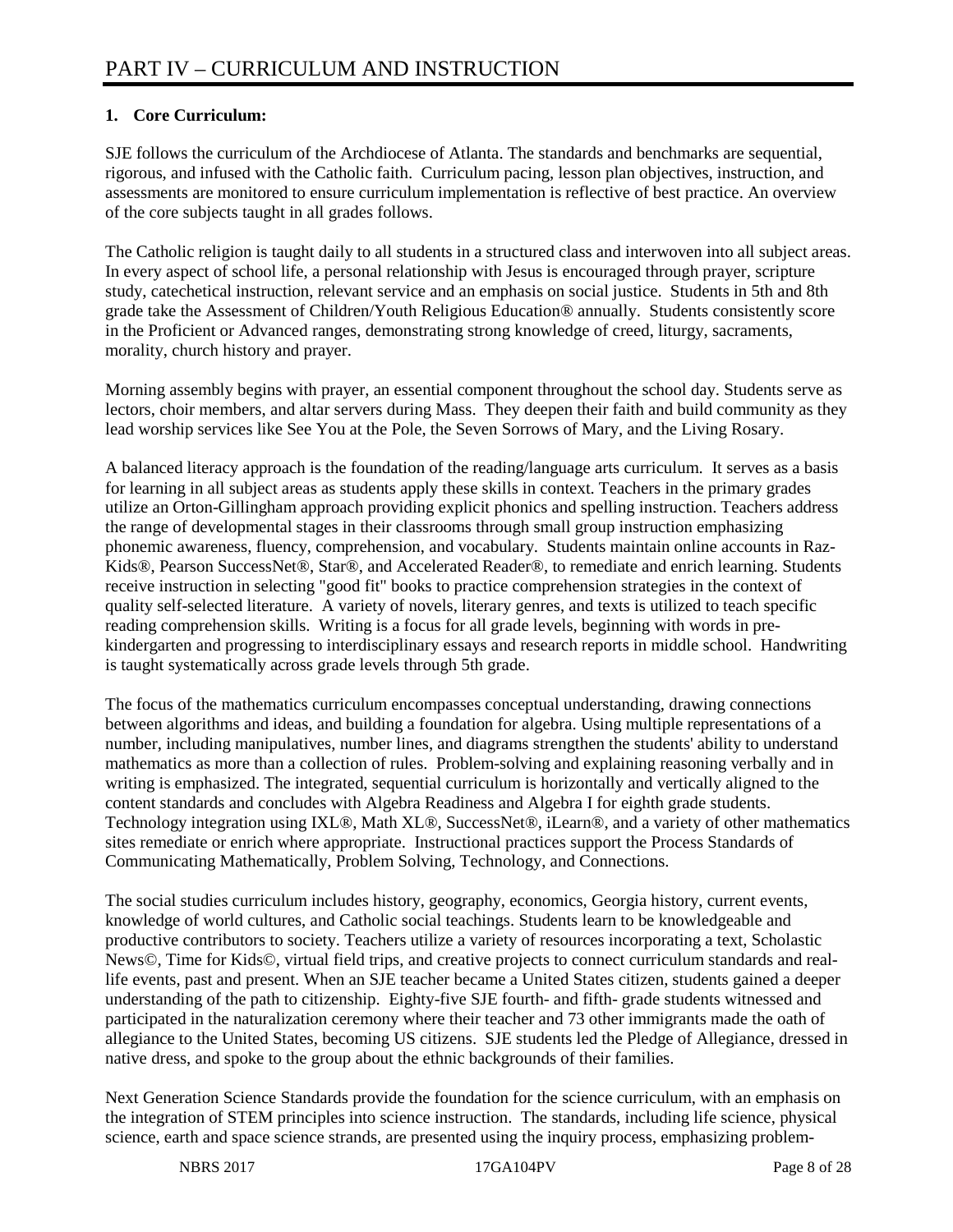# **1. Core Curriculum:**

SJE follows the curriculum of the Archdiocese of Atlanta. The standards and benchmarks are sequential, rigorous, and infused with the Catholic faith. Curriculum pacing, lesson plan objectives, instruction, and assessments are monitored to ensure curriculum implementation is reflective of best practice. An overview of the core subjects taught in all grades follows.

The Catholic religion is taught daily to all students in a structured class and interwoven into all subject areas. In every aspect of school life, a personal relationship with Jesus is encouraged through prayer, scripture study, catechetical instruction, relevant service and an emphasis on social justice. Students in 5th and 8th grade take the Assessment of Children/Youth Religious Education® annually. Students consistently score in the Proficient or Advanced ranges, demonstrating strong knowledge of creed, liturgy, sacraments, morality, church history and prayer.

Morning assembly begins with prayer, an essential component throughout the school day. Students serve as lectors, choir members, and altar servers during Mass. They deepen their faith and build community as they lead worship services like See You at the Pole, the Seven Sorrows of Mary, and the Living Rosary.

A balanced literacy approach is the foundation of the reading/language arts curriculum. It serves as a basis for learning in all subject areas as students apply these skills in context. Teachers in the primary grades utilize an Orton-Gillingham approach providing explicit phonics and spelling instruction. Teachers address the range of developmental stages in their classrooms through small group instruction emphasizing phonemic awareness, fluency, comprehension, and vocabulary. Students maintain online accounts in Raz-Kids®, Pearson SuccessNet®, Star®, and Accelerated Reader®, to remediate and enrich learning. Students receive instruction in selecting "good fit" books to practice comprehension strategies in the context of quality self-selected literature. A variety of novels, literary genres, and texts is utilized to teach specific reading comprehension skills. Writing is a focus for all grade levels, beginning with words in prekindergarten and progressing to interdisciplinary essays and research reports in middle school. Handwriting is taught systematically across grade levels through 5th grade.

The focus of the mathematics curriculum encompasses conceptual understanding, drawing connections between algorithms and ideas, and building a foundation for algebra. Using multiple representations of a number, including manipulatives, number lines, and diagrams strengthen the students' ability to understand mathematics as more than a collection of rules. Problem-solving and explaining reasoning verbally and in writing is emphasized. The integrated, sequential curriculum is horizontally and vertically aligned to the content standards and concludes with Algebra Readiness and Algebra I for eighth grade students. Technology integration using IXL®, Math XL®, SuccessNet®, iLearn®, and a variety of other mathematics sites remediate or enrich where appropriate. Instructional practices support the Process Standards of Communicating Mathematically, Problem Solving, Technology, and Connections.

The social studies curriculum includes history, geography, economics, Georgia history, current events, knowledge of world cultures, and Catholic social teachings. Students learn to be knowledgeable and productive contributors to society. Teachers utilize a variety of resources incorporating a text, Scholastic News©, Time for Kids©, virtual field trips, and creative projects to connect curriculum standards and reallife events, past and present. When an SJE teacher became a United States citizen, students gained a deeper understanding of the path to citizenship. Eighty-five SJE fourth- and fifth- grade students witnessed and participated in the naturalization ceremony where their teacher and 73 other immigrants made the oath of allegiance to the United States, becoming US citizens. SJE students led the Pledge of Allegiance, dressed in native dress, and spoke to the group about the ethnic backgrounds of their families.

Next Generation Science Standards provide the foundation for the science curriculum, with an emphasis on the integration of STEM principles into science instruction. The standards, including life science, physical science, earth and space science strands, are presented using the inquiry process, emphasizing problem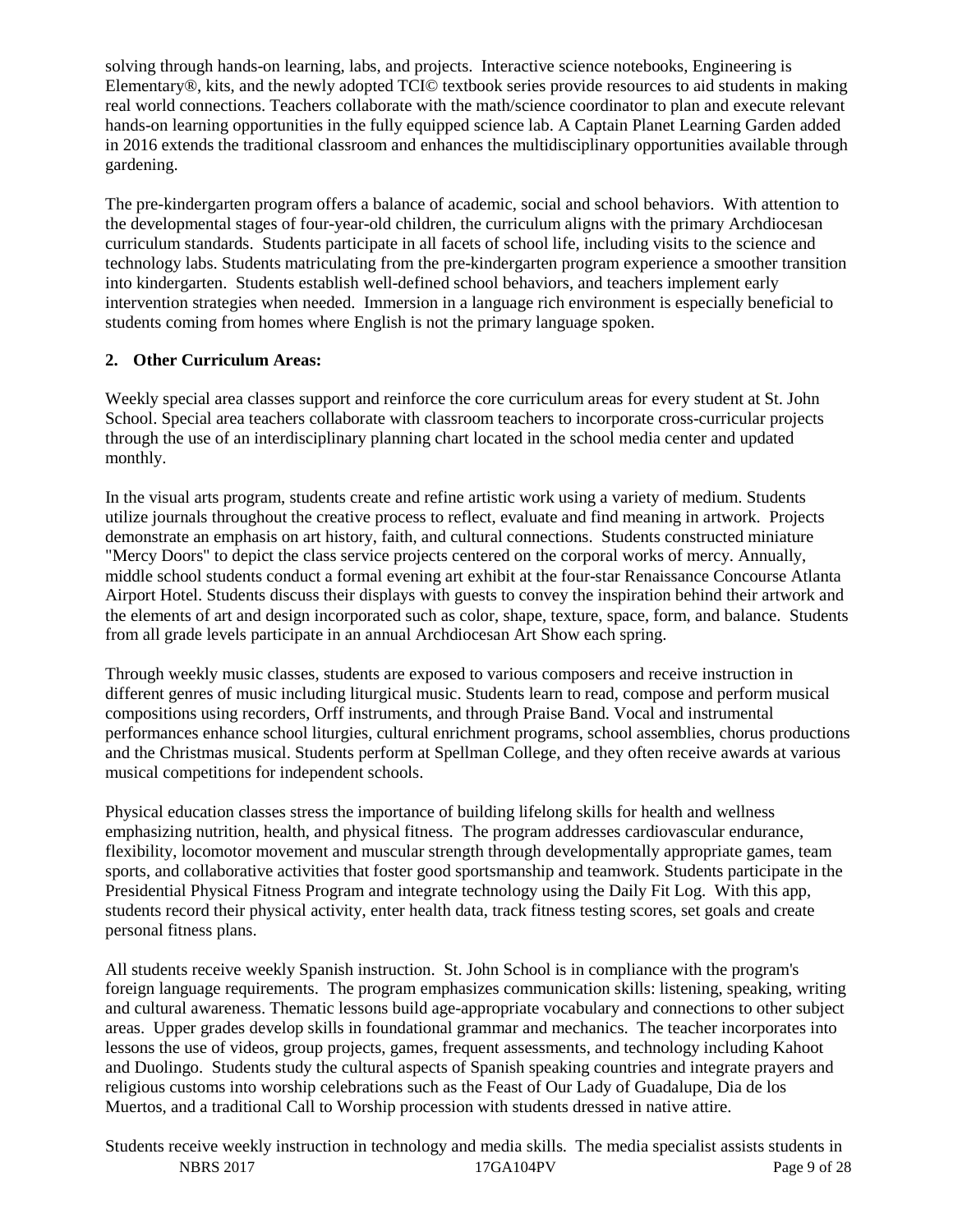solving through hands-on learning, labs, and projects. Interactive science notebooks, Engineering is Elementary®, kits, and the newly adopted TCI© textbook series provide resources to aid students in making real world connections. Teachers collaborate with the math/science coordinator to plan and execute relevant hands-on learning opportunities in the fully equipped science lab. A Captain Planet Learning Garden added in 2016 extends the traditional classroom and enhances the multidisciplinary opportunities available through gardening.

The pre-kindergarten program offers a balance of academic, social and school behaviors. With attention to the developmental stages of four-year-old children, the curriculum aligns with the primary Archdiocesan curriculum standards. Students participate in all facets of school life, including visits to the science and technology labs. Students matriculating from the pre-kindergarten program experience a smoother transition into kindergarten. Students establish well-defined school behaviors, and teachers implement early intervention strategies when needed. Immersion in a language rich environment is especially beneficial to students coming from homes where English is not the primary language spoken.

# **2. Other Curriculum Areas:**

Weekly special area classes support and reinforce the core curriculum areas for every student at St. John School. Special area teachers collaborate with classroom teachers to incorporate cross-curricular projects through the use of an interdisciplinary planning chart located in the school media center and updated monthly.

In the visual arts program, students create and refine artistic work using a variety of medium. Students utilize journals throughout the creative process to reflect, evaluate and find meaning in artwork. Projects demonstrate an emphasis on art history, faith, and cultural connections. Students constructed miniature "Mercy Doors" to depict the class service projects centered on the corporal works of mercy. Annually, middle school students conduct a formal evening art exhibit at the four-star Renaissance Concourse Atlanta Airport Hotel. Students discuss their displays with guests to convey the inspiration behind their artwork and the elements of art and design incorporated such as color, shape, texture, space, form, and balance. Students from all grade levels participate in an annual Archdiocesan Art Show each spring.

Through weekly music classes, students are exposed to various composers and receive instruction in different genres of music including liturgical music. Students learn to read, compose and perform musical compositions using recorders, Orff instruments, and through Praise Band. Vocal and instrumental performances enhance school liturgies, cultural enrichment programs, school assemblies, chorus productions and the Christmas musical. Students perform at Spellman College, and they often receive awards at various musical competitions for independent schools.

Physical education classes stress the importance of building lifelong skills for health and wellness emphasizing nutrition, health, and physical fitness. The program addresses cardiovascular endurance, flexibility, locomotor movement and muscular strength through developmentally appropriate games, team sports, and collaborative activities that foster good sportsmanship and teamwork. Students participate in the Presidential Physical Fitness Program and integrate technology using the Daily Fit Log. With this app, students record their physical activity, enter health data, track fitness testing scores, set goals and create personal fitness plans.

All students receive weekly Spanish instruction. St. John School is in compliance with the program's foreign language requirements. The program emphasizes communication skills: listening, speaking, writing and cultural awareness. Thematic lessons build age-appropriate vocabulary and connections to other subject areas. Upper grades develop skills in foundational grammar and mechanics. The teacher incorporates into lessons the use of videos, group projects, games, frequent assessments, and technology including Kahoot and Duolingo. Students study the cultural aspects of Spanish speaking countries and integrate prayers and religious customs into worship celebrations such as the Feast of Our Lady of Guadalupe, Dia de los Muertos, and a traditional Call to Worship procession with students dressed in native attire.

NBRS 2017 **17GA104PV** Page 9 of 28 Students receive weekly instruction in technology and media skills. The media specialist assists students in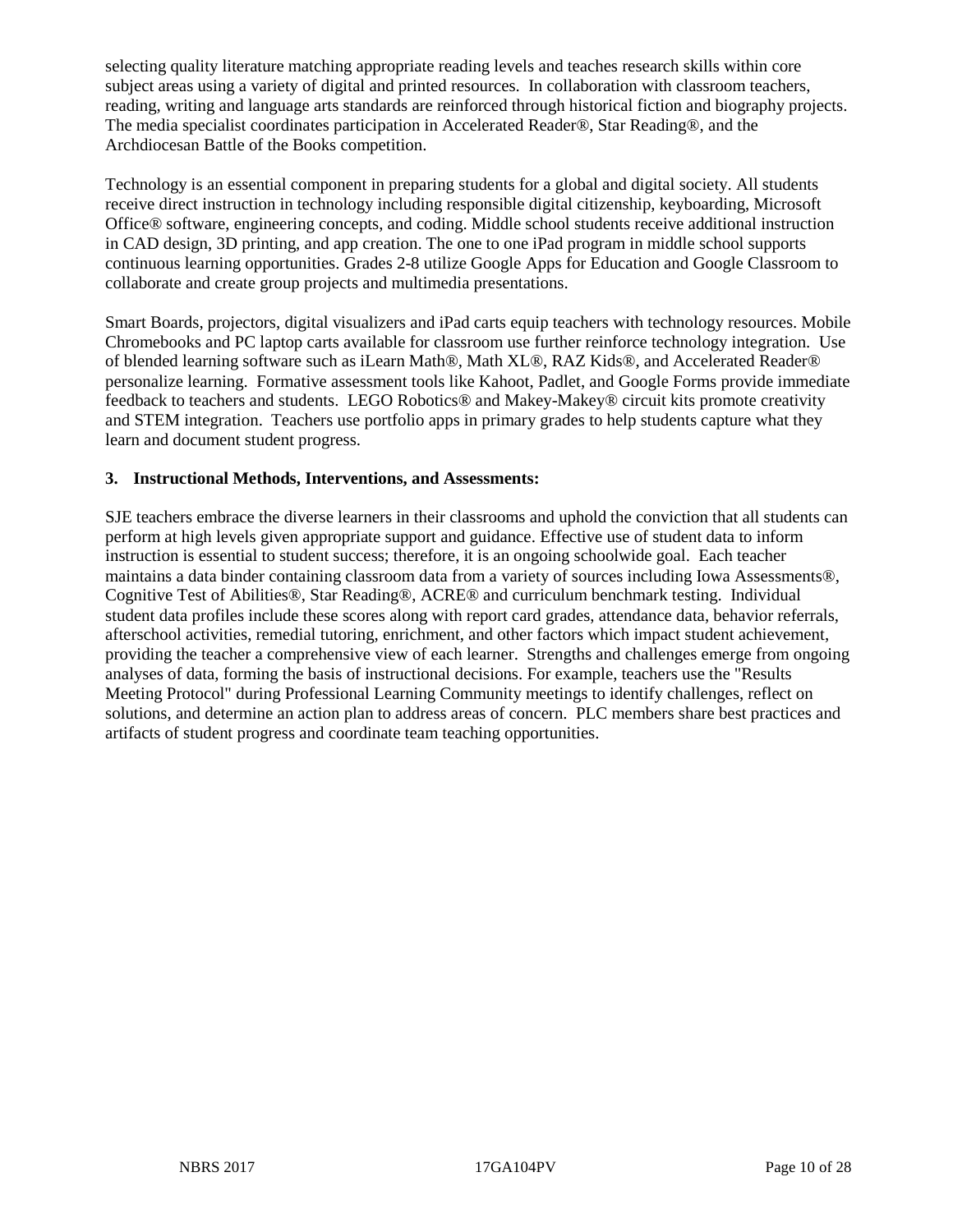selecting quality literature matching appropriate reading levels and teaches research skills within core subject areas using a variety of digital and printed resources. In collaboration with classroom teachers, reading, writing and language arts standards are reinforced through historical fiction and biography projects. The media specialist coordinates participation in Accelerated Reader®, Star Reading®, and the Archdiocesan Battle of the Books competition.

Technology is an essential component in preparing students for a global and digital society. All students receive direct instruction in technology including responsible digital citizenship, keyboarding, Microsoft Office® software, engineering concepts, and coding. Middle school students receive additional instruction in CAD design, 3D printing, and app creation. The one to one iPad program in middle school supports continuous learning opportunities. Grades 2-8 utilize Google Apps for Education and Google Classroom to collaborate and create group projects and multimedia presentations.

Smart Boards, projectors, digital visualizers and iPad carts equip teachers with technology resources. Mobile Chromebooks and PC laptop carts available for classroom use further reinforce technology integration. Use of blended learning software such as iLearn Math®, Math XL®, RAZ Kids®, and Accelerated Reader® personalize learning. Formative assessment tools like Kahoot, Padlet, and Google Forms provide immediate feedback to teachers and students. LEGO Robotics® and Makey-Makey® circuit kits promote creativity and STEM integration. Teachers use portfolio apps in primary grades to help students capture what they learn and document student progress.

#### **3. Instructional Methods, Interventions, and Assessments:**

SJE teachers embrace the diverse learners in their classrooms and uphold the conviction that all students can perform at high levels given appropriate support and guidance. Effective use of student data to inform instruction is essential to student success; therefore, it is an ongoing schoolwide goal. Each teacher maintains a data binder containing classroom data from a variety of sources including Iowa Assessments®, Cognitive Test of Abilities®, Star Reading®, ACRE® and curriculum benchmark testing. Individual student data profiles include these scores along with report card grades, attendance data, behavior referrals, afterschool activities, remedial tutoring, enrichment, and other factors which impact student achievement, providing the teacher a comprehensive view of each learner. Strengths and challenges emerge from ongoing analyses of data, forming the basis of instructional decisions. For example, teachers use the "Results Meeting Protocol" during Professional Learning Community meetings to identify challenges, reflect on solutions, and determine an action plan to address areas of concern. PLC members share best practices and artifacts of student progress and coordinate team teaching opportunities.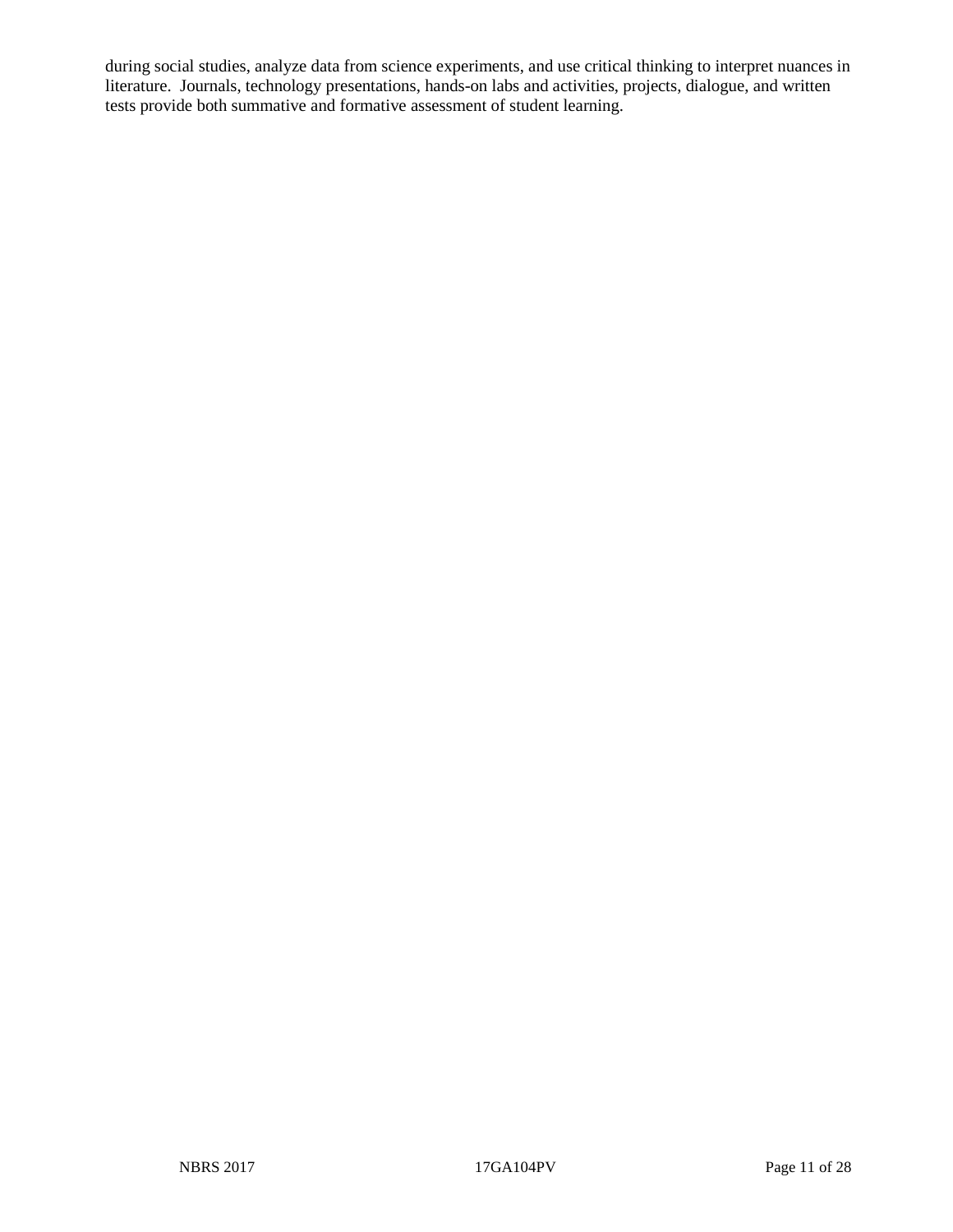during social studies, analyze data from science experiments, and use critical thinking to interpret nuances in literature. Journals, technology presentations, hands-on labs and activities, projects, dialogue, and written tests provide both summative and formative assessment of student learning.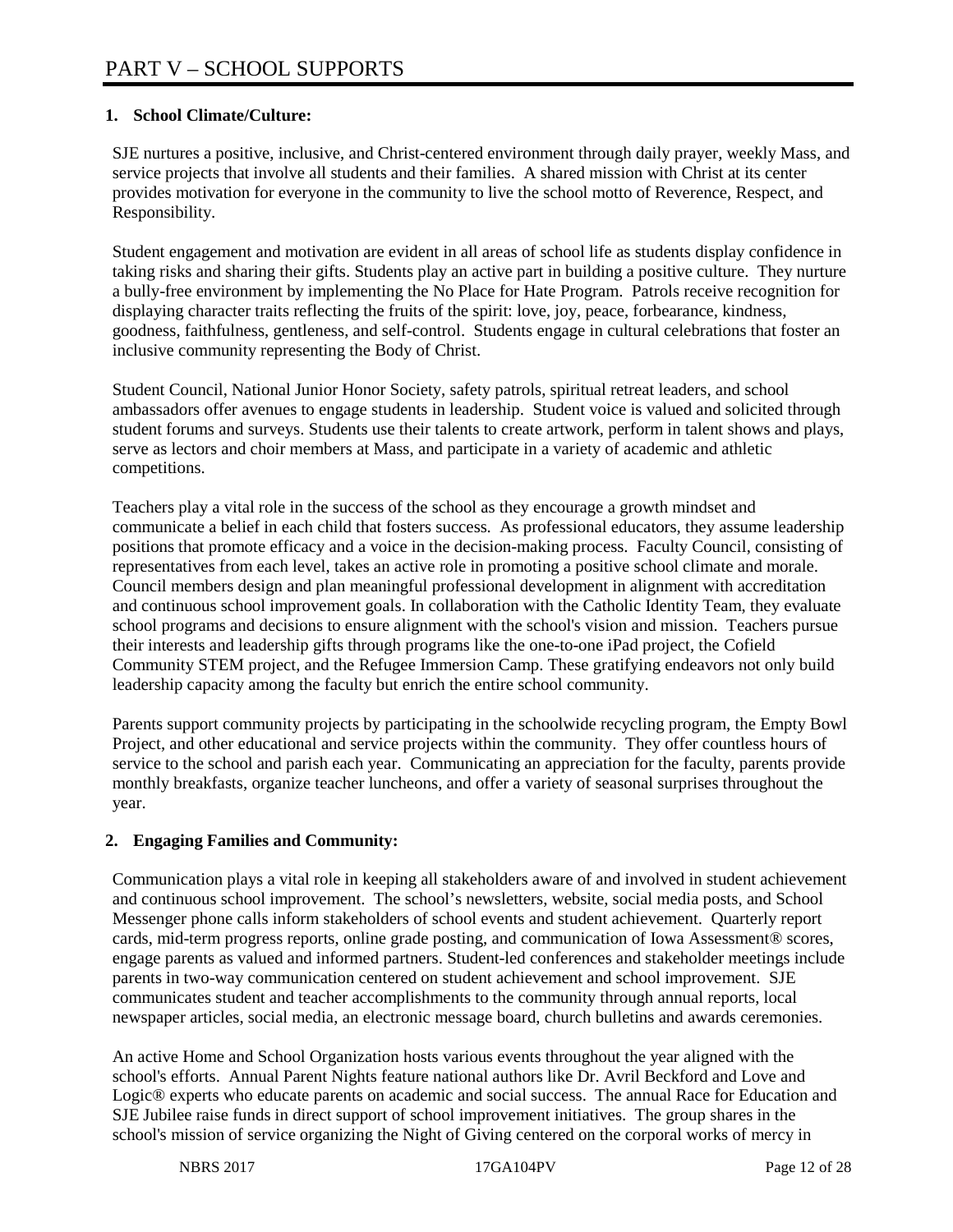# **1. School Climate/Culture:**

SJE nurtures a positive, inclusive, and Christ-centered environment through daily prayer, weekly Mass, and service projects that involve all students and their families. A shared mission with Christ at its center provides motivation for everyone in the community to live the school motto of Reverence, Respect, and Responsibility.

Student engagement and motivation are evident in all areas of school life as students display confidence in taking risks and sharing their gifts. Students play an active part in building a positive culture. They nurture a bully-free environment by implementing the No Place for Hate Program. Patrols receive recognition for displaying character traits reflecting the fruits of the spirit: love, joy, peace, forbearance, kindness, goodness, faithfulness, gentleness, and self-control. Students engage in cultural celebrations that foster an inclusive community representing the Body of Christ.

Student Council, National Junior Honor Society, safety patrols, spiritual retreat leaders, and school ambassadors offer avenues to engage students in leadership. Student voice is valued and solicited through student forums and surveys. Students use their talents to create artwork, perform in talent shows and plays, serve as lectors and choir members at Mass, and participate in a variety of academic and athletic competitions.

Teachers play a vital role in the success of the school as they encourage a growth mindset and communicate a belief in each child that fosters success. As professional educators, they assume leadership positions that promote efficacy and a voice in the decision-making process. Faculty Council, consisting of representatives from each level, takes an active role in promoting a positive school climate and morale. Council members design and plan meaningful professional development in alignment with accreditation and continuous school improvement goals. In collaboration with the Catholic Identity Team, they evaluate school programs and decisions to ensure alignment with the school's vision and mission. Teachers pursue their interests and leadership gifts through programs like the one-to-one iPad project, the Cofield Community STEM project, and the Refugee Immersion Camp. These gratifying endeavors not only build leadership capacity among the faculty but enrich the entire school community.

Parents support community projects by participating in the schoolwide recycling program, the Empty Bowl Project, and other educational and service projects within the community. They offer countless hours of service to the school and parish each year. Communicating an appreciation for the faculty, parents provide monthly breakfasts, organize teacher luncheons, and offer a variety of seasonal surprises throughout the year.

# **2. Engaging Families and Community:**

Communication plays a vital role in keeping all stakeholders aware of and involved in student achievement and continuous school improvement. The school's newsletters, website, social media posts, and School Messenger phone calls inform stakeholders of school events and student achievement. Quarterly report cards, mid-term progress reports, online grade posting, and communication of Iowa Assessment® scores, engage parents as valued and informed partners. Student-led conferences and stakeholder meetings include parents in two-way communication centered on student achievement and school improvement. SJE communicates student and teacher accomplishments to the community through annual reports, local newspaper articles, social media, an electronic message board, church bulletins and awards ceremonies.

An active Home and School Organization hosts various events throughout the year aligned with the school's efforts. Annual Parent Nights feature national authors like Dr. Avril Beckford and Love and Logic® experts who educate parents on academic and social success. The annual Race for Education and SJE Jubilee raise funds in direct support of school improvement initiatives. The group shares in the school's mission of service organizing the Night of Giving centered on the corporal works of mercy in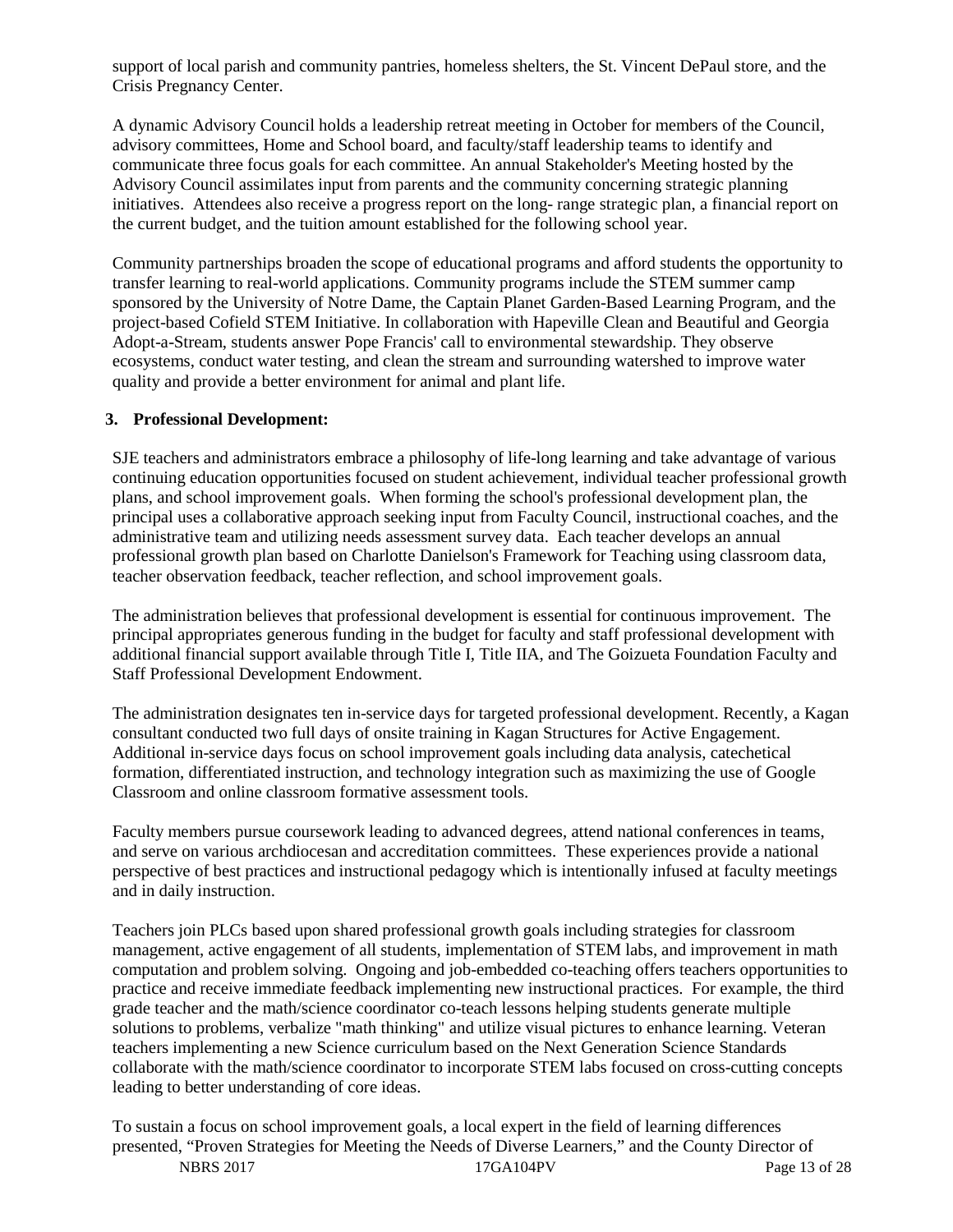support of local parish and community pantries, homeless shelters, the St. Vincent DePaul store, and the Crisis Pregnancy Center.

A dynamic Advisory Council holds a leadership retreat meeting in October for members of the Council, advisory committees, Home and School board, and faculty/staff leadership teams to identify and communicate three focus goals for each committee. An annual Stakeholder's Meeting hosted by the Advisory Council assimilates input from parents and the community concerning strategic planning initiatives. Attendees also receive a progress report on the long- range strategic plan, a financial report on the current budget, and the tuition amount established for the following school year.

Community partnerships broaden the scope of educational programs and afford students the opportunity to transfer learning to real-world applications. Community programs include the STEM summer camp sponsored by the University of Notre Dame, the Captain Planet Garden-Based Learning Program, and the project-based Cofield STEM Initiative. In collaboration with Hapeville Clean and Beautiful and Georgia Adopt-a-Stream, students answer Pope Francis' call to environmental stewardship. They observe ecosystems, conduct water testing, and clean the stream and surrounding watershed to improve water quality and provide a better environment for animal and plant life.

#### **3. Professional Development:**

SJE teachers and administrators embrace a philosophy of life-long learning and take advantage of various continuing education opportunities focused on student achievement, individual teacher professional growth plans, and school improvement goals. When forming the school's professional development plan, the principal uses a collaborative approach seeking input from Faculty Council, instructional coaches, and the administrative team and utilizing needs assessment survey data. Each teacher develops an annual professional growth plan based on Charlotte Danielson's Framework for Teaching using classroom data, teacher observation feedback, teacher reflection, and school improvement goals.

The administration believes that professional development is essential for continuous improvement. The principal appropriates generous funding in the budget for faculty and staff professional development with additional financial support available through Title I, Title IIA, and The Goizueta Foundation Faculty and Staff Professional Development Endowment.

The administration designates ten in-service days for targeted professional development. Recently, a Kagan consultant conducted two full days of onsite training in Kagan Structures for Active Engagement. Additional in-service days focus on school improvement goals including data analysis, catechetical formation, differentiated instruction, and technology integration such as maximizing the use of Google Classroom and online classroom formative assessment tools.

Faculty members pursue coursework leading to advanced degrees, attend national conferences in teams, and serve on various archdiocesan and accreditation committees. These experiences provide a national perspective of best practices and instructional pedagogy which is intentionally infused at faculty meetings and in daily instruction.

Teachers join PLCs based upon shared professional growth goals including strategies for classroom management, active engagement of all students, implementation of STEM labs, and improvement in math computation and problem solving. Ongoing and job-embedded co-teaching offers teachers opportunities to practice and receive immediate feedback implementing new instructional practices. For example, the third grade teacher and the math/science coordinator co-teach lessons helping students generate multiple solutions to problems, verbalize "math thinking" and utilize visual pictures to enhance learning. Veteran teachers implementing a new Science curriculum based on the Next Generation Science Standards collaborate with the math/science coordinator to incorporate STEM labs focused on cross-cutting concepts leading to better understanding of core ideas.

NBRS 2017 17GA104PV Page 13 of 28 To sustain a focus on school improvement goals, a local expert in the field of learning differences presented, "Proven Strategies for Meeting the Needs of Diverse Learners," and the County Director of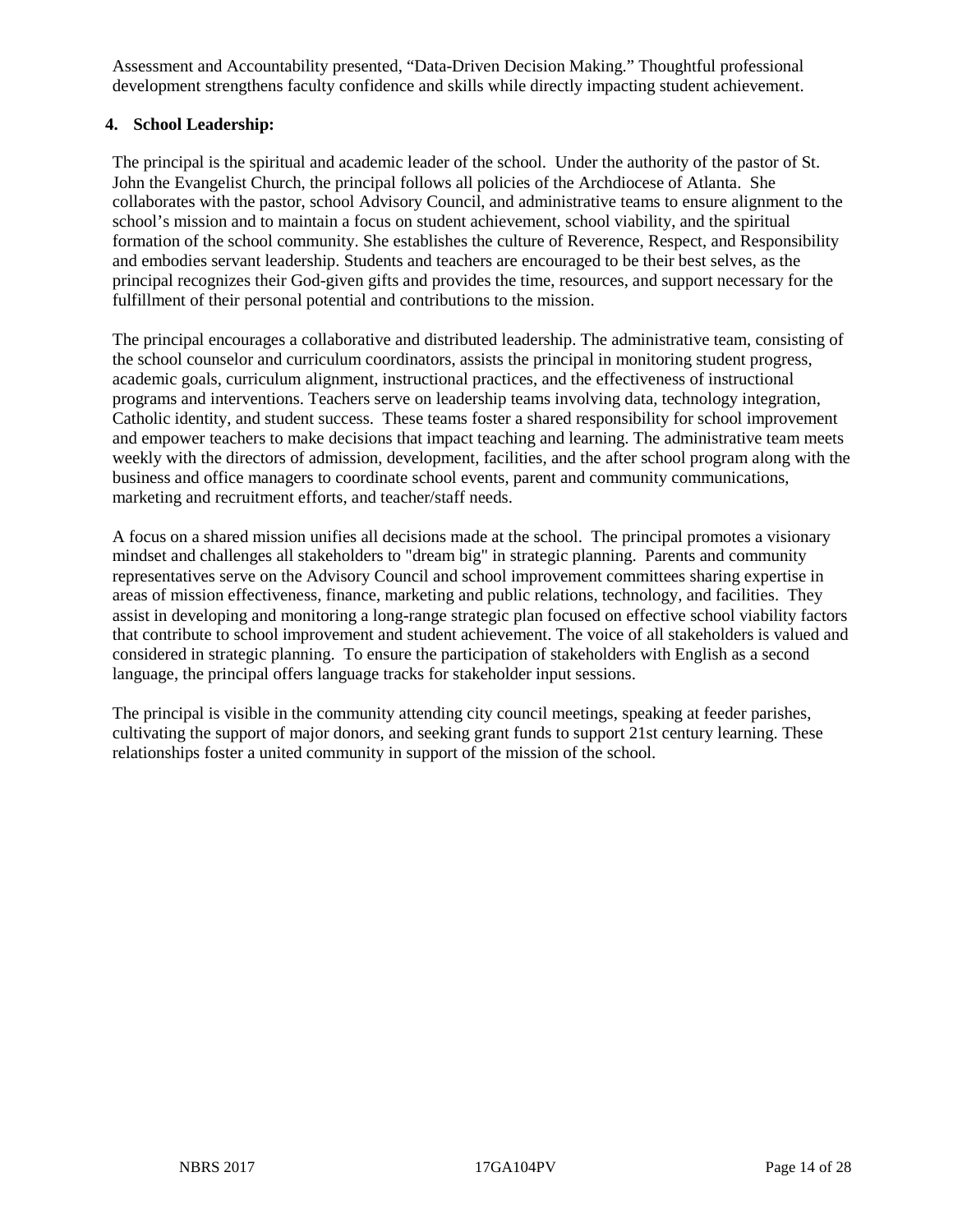Assessment and Accountability presented, "Data-Driven Decision Making." Thoughtful professional development strengthens faculty confidence and skills while directly impacting student achievement.

## **4. School Leadership:**

The principal is the spiritual and academic leader of the school. Under the authority of the pastor of St. John the Evangelist Church, the principal follows all policies of the Archdiocese of Atlanta. She collaborates with the pastor, school Advisory Council, and administrative teams to ensure alignment to the school's mission and to maintain a focus on student achievement, school viability, and the spiritual formation of the school community. She establishes the culture of Reverence, Respect, and Responsibility and embodies servant leadership. Students and teachers are encouraged to be their best selves, as the principal recognizes their God-given gifts and provides the time, resources, and support necessary for the fulfillment of their personal potential and contributions to the mission.

The principal encourages a collaborative and distributed leadership. The administrative team, consisting of the school counselor and curriculum coordinators, assists the principal in monitoring student progress, academic goals, curriculum alignment, instructional practices, and the effectiveness of instructional programs and interventions. Teachers serve on leadership teams involving data, technology integration, Catholic identity, and student success. These teams foster a shared responsibility for school improvement and empower teachers to make decisions that impact teaching and learning. The administrative team meets weekly with the directors of admission, development, facilities, and the after school program along with the business and office managers to coordinate school events, parent and community communications, marketing and recruitment efforts, and teacher/staff needs.

A focus on a shared mission unifies all decisions made at the school. The principal promotes a visionary mindset and challenges all stakeholders to "dream big" in strategic planning. Parents and community representatives serve on the Advisory Council and school improvement committees sharing expertise in areas of mission effectiveness, finance, marketing and public relations, technology, and facilities. They assist in developing and monitoring a long-range strategic plan focused on effective school viability factors that contribute to school improvement and student achievement. The voice of all stakeholders is valued and considered in strategic planning. To ensure the participation of stakeholders with English as a second language, the principal offers language tracks for stakeholder input sessions.

The principal is visible in the community attending city council meetings, speaking at feeder parishes, cultivating the support of major donors, and seeking grant funds to support 21st century learning. These relationships foster a united community in support of the mission of the school.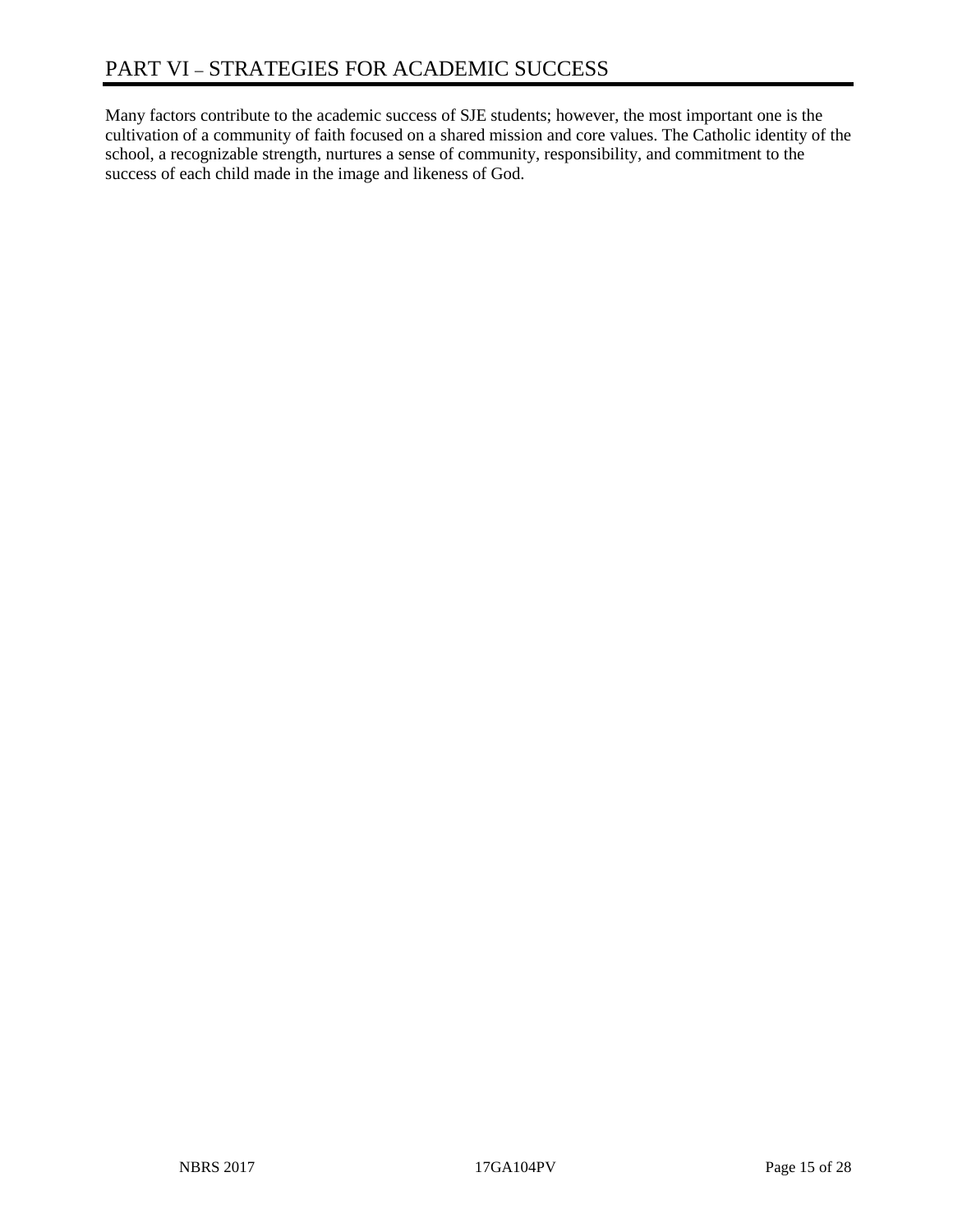Many factors contribute to the academic success of SJE students; however, the most important one is the cultivation of a community of faith focused on a shared mission and core values. The Catholic identity of the school, a recognizable strength, nurtures a sense of community, responsibility, and commitment to the success of each child made in the image and likeness of God.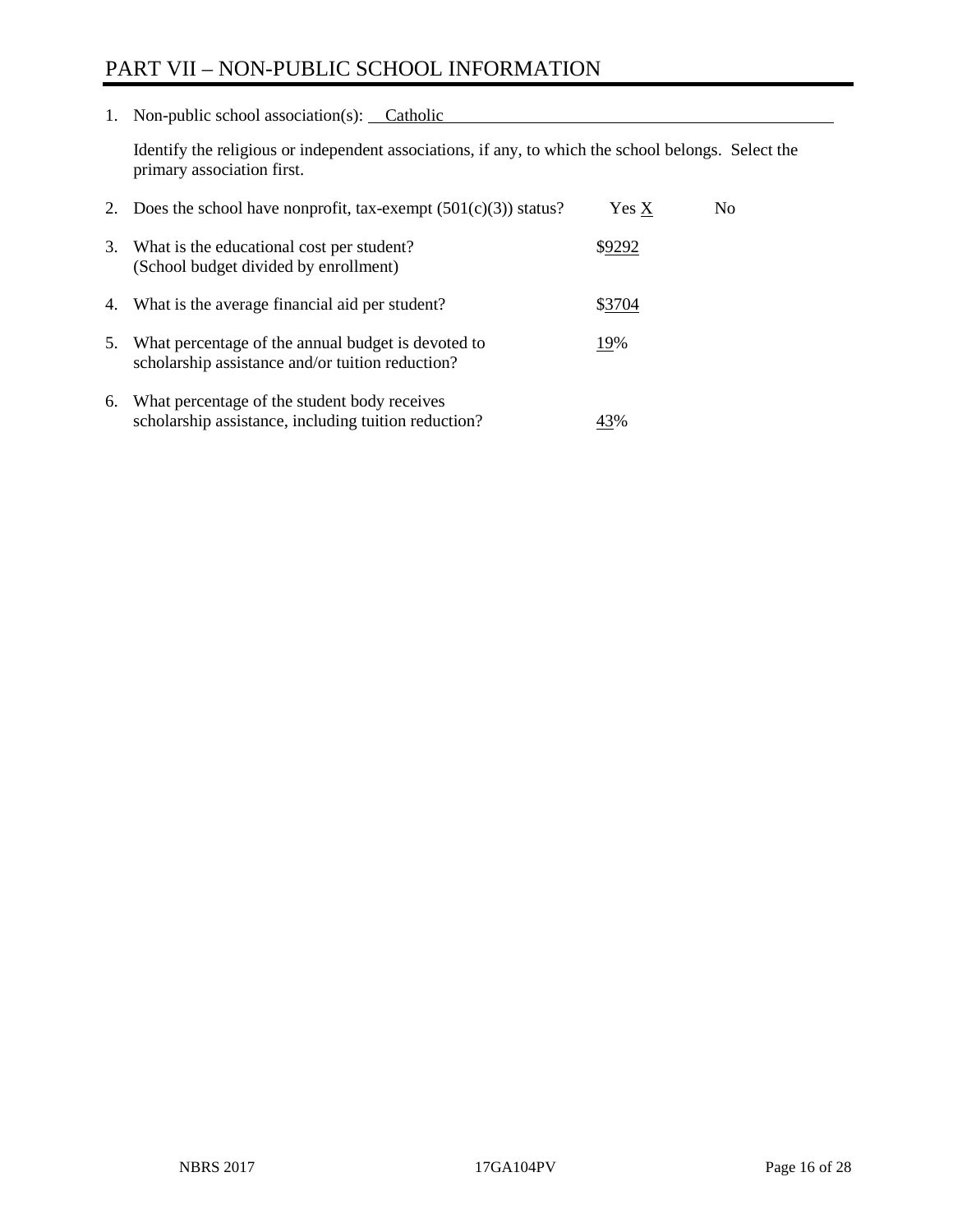# PART VII – NON-PUBLIC SCHOOL INFORMATION

1. Non-public school association(s): Catholic

Identify the religious or independent associations, if any, to which the school belongs. Select the primary association first.

| 2. | Does the school have nonprofit, tax-exempt $(501(c)(3))$ status?                                       | Yes X  | No. |
|----|--------------------------------------------------------------------------------------------------------|--------|-----|
| 3. | What is the educational cost per student?<br>(School budget divided by enrollment)                     | \$9292 |     |
| 4. | What is the average financial aid per student?                                                         | \$3704 |     |
| 5. | What percentage of the annual budget is devoted to<br>scholarship assistance and/or tuition reduction? | 19%    |     |
| 6. | What percentage of the student body receives<br>scholarship assistance, including tuition reduction?   | 43%    |     |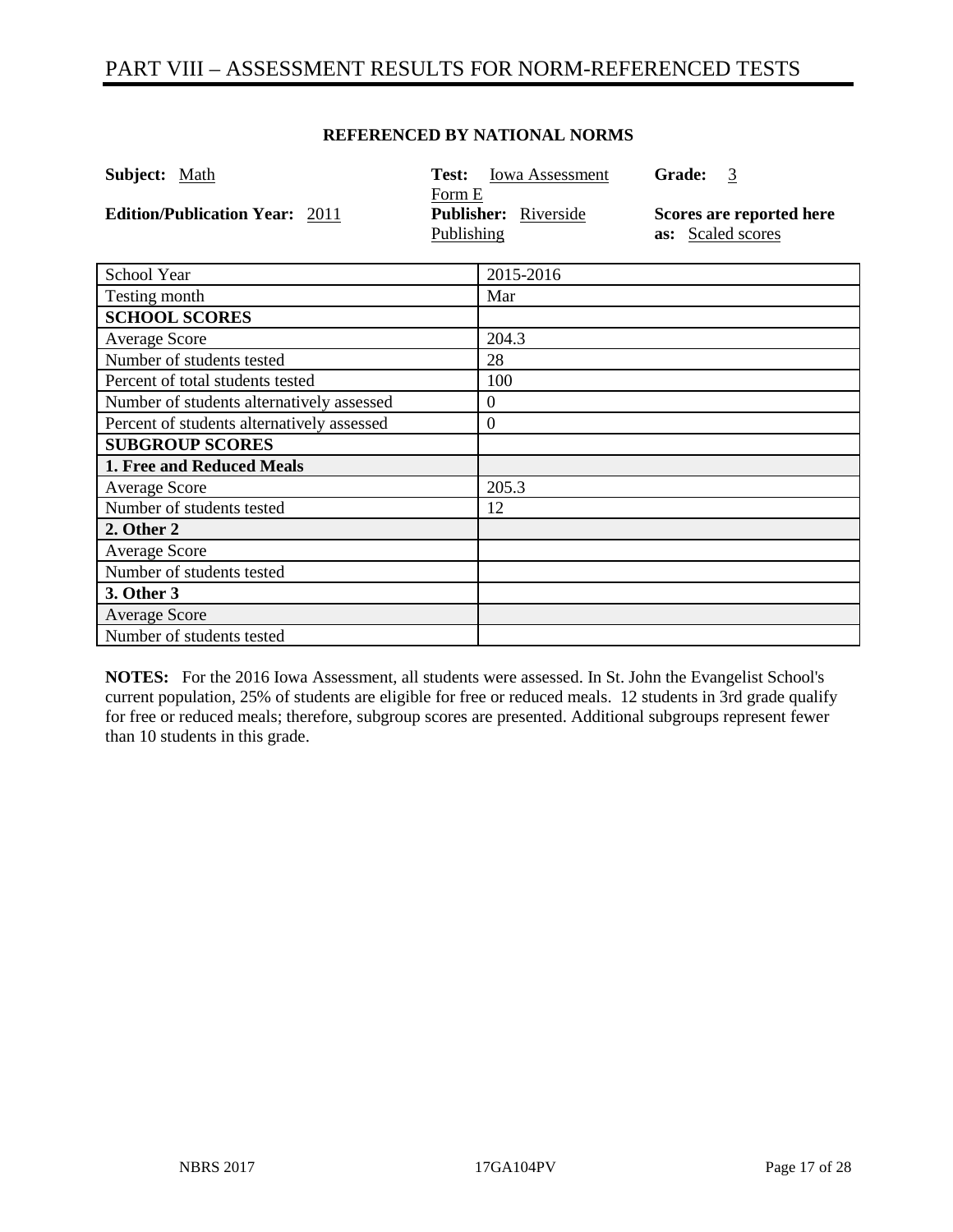# PART VIII – ASSESSMENT RESULTS FOR NORM-REFERENCED TESTS

#### **REFERENCED BY NATIONAL NORMS**

| Subject: Math                              | Test:                | Iowa Assessment      | Grade:<br>$\overline{3}$                      |
|--------------------------------------------|----------------------|----------------------|-----------------------------------------------|
| <b>Edition/Publication Year: 2011</b>      | Form E<br>Publishing | Publisher: Riverside | Scores are reported here<br>as: Scaled scores |
| School Year                                |                      | 2015-2016            |                                               |
| Testing month                              |                      | Mar                  |                                               |
| <b>SCHOOL SCORES</b>                       |                      |                      |                                               |
| <b>Average Score</b>                       |                      | 204.3                |                                               |
| Number of students tested                  |                      | 28                   |                                               |
| Percent of total students tested           |                      | 100                  |                                               |
| Number of students alternatively assessed  |                      | $\theta$             |                                               |
| Percent of students alternatively assessed |                      | $\boldsymbol{0}$     |                                               |
| <b>SUBGROUP SCORES</b>                     |                      |                      |                                               |
| 1. Free and Reduced Meals                  |                      |                      |                                               |
| <b>Average Score</b>                       |                      | 205.3                |                                               |
| Number of students tested                  |                      | 12                   |                                               |
| 2. Other 2                                 |                      |                      |                                               |
| <b>Average Score</b>                       |                      |                      |                                               |
| Number of students tested                  |                      |                      |                                               |
| 3. Other 3                                 |                      |                      |                                               |
| <b>Average Score</b>                       |                      |                      |                                               |
| Number of students tested                  |                      |                      |                                               |

**NOTES:** For the 2016 Iowa Assessment, all students were assessed. In St. John the Evangelist School's current population, 25% of students are eligible for free or reduced meals. 12 students in 3rd grade qualify for free or reduced meals; therefore, subgroup scores are presented. Additional subgroups represent fewer than 10 students in this grade.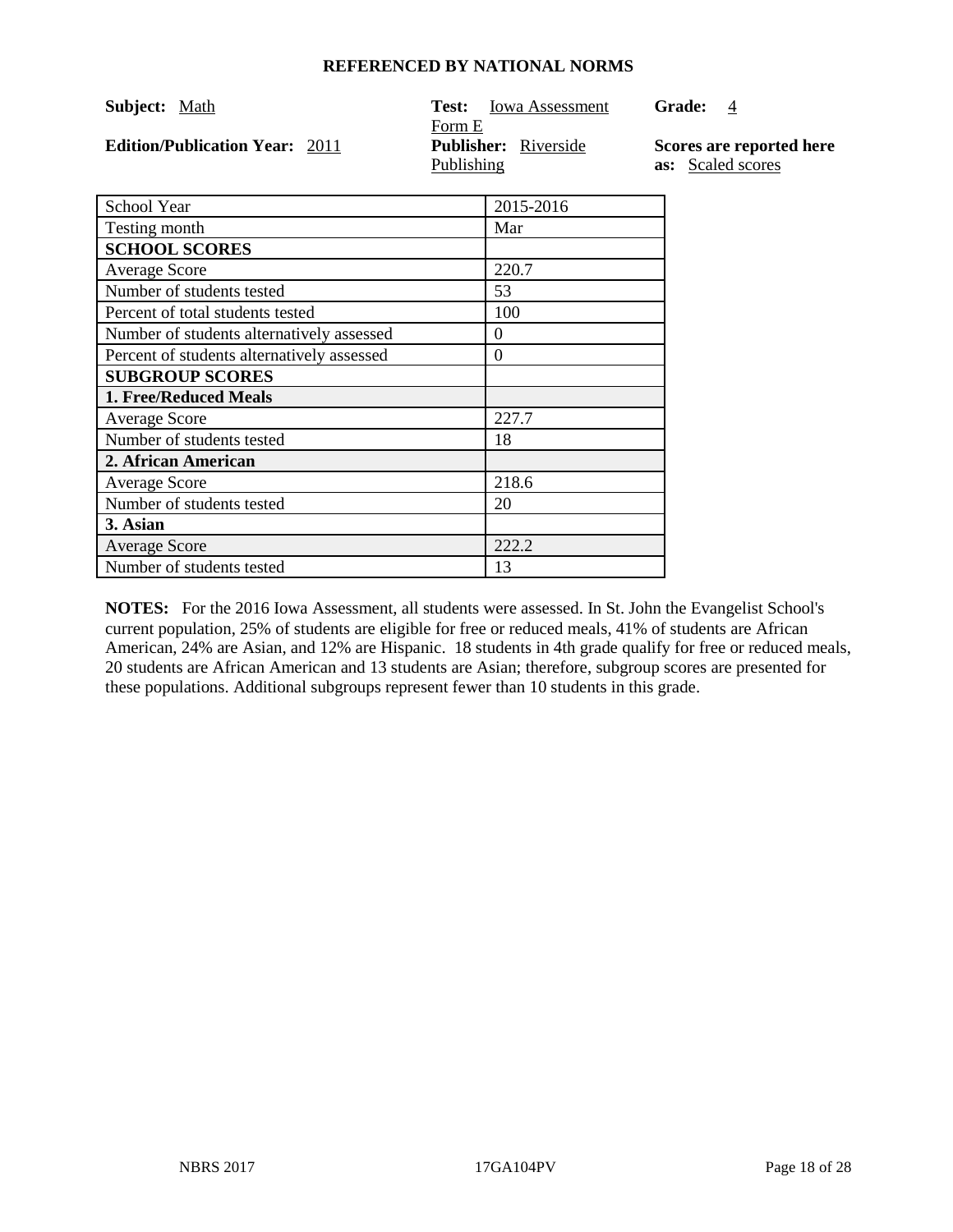| <b>Subject:</b> Math                  | <b>Iowa Assessment</b><br>Test: | <b>Grade:</b><br>-4      |
|---------------------------------------|---------------------------------|--------------------------|
|                                       | Form E                          |                          |
| <b>Edition/Publication Year: 2011</b> | <b>Publisher:</b> Riverside     | Scores are reported here |
|                                       | Publishing                      | <b>as:</b> Scaled scores |

| School Year                                | 2015-2016 |
|--------------------------------------------|-----------|
| Testing month                              | Mar       |
| <b>SCHOOL SCORES</b>                       |           |
| <b>Average Score</b>                       | 220.7     |
| Number of students tested                  | 53        |
| Percent of total students tested           | 100       |
| Number of students alternatively assessed  | 0         |
| Percent of students alternatively assessed | 0         |
| <b>SUBGROUP SCORES</b>                     |           |
| <b>1. Free/Reduced Meals</b>               |           |
| <b>Average Score</b>                       | 227.7     |
| Number of students tested                  | 18        |
| 2. African American                        |           |
| <b>Average Score</b>                       | 218.6     |
| Number of students tested                  | 20        |
| 3. Asian                                   |           |
| <b>Average Score</b>                       | 222.2     |
| Number of students tested                  | 13        |

**NOTES:** For the 2016 Iowa Assessment, all students were assessed. In St. John the Evangelist School's current population, 25% of students are eligible for free or reduced meals, 41% of students are African American, 24% are Asian, and 12% are Hispanic. 18 students in 4th grade qualify for free or reduced meals, 20 students are African American and 13 students are Asian; therefore, subgroup scores are presented for these populations. Additional subgroups represent fewer than 10 students in this grade.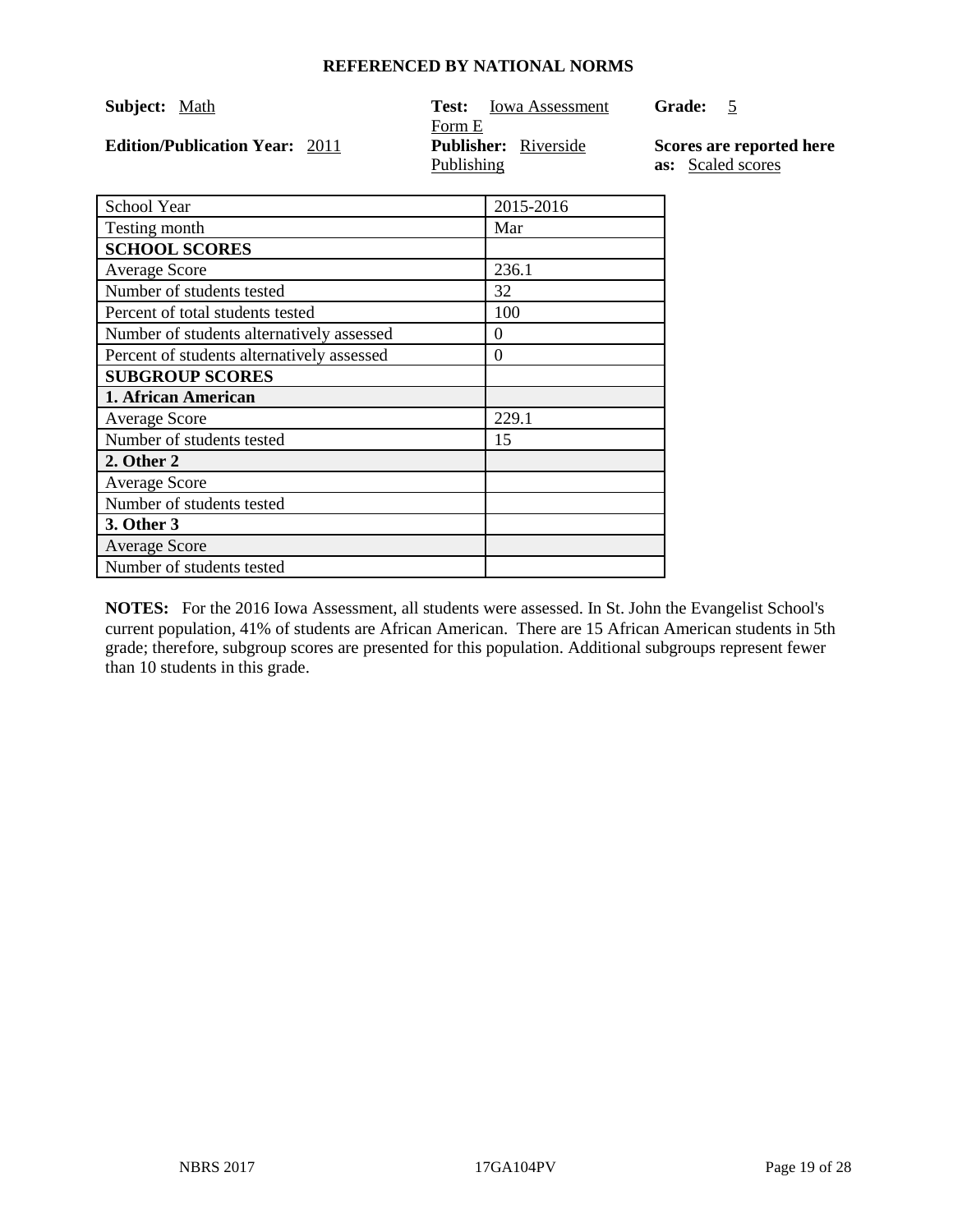| Subject: Math                         | <b>Iowa Assessment</b><br>Test: | <b>Grade:</b>            |
|---------------------------------------|---------------------------------|--------------------------|
|                                       | Form E                          |                          |
| <b>Edition/Publication Year: 2011</b> | <b>Publisher:</b> Riverside     | Scores are reported here |
|                                       | Publishing                      | as: Scaled scores        |

| School Year                                | 2015-2016 |
|--------------------------------------------|-----------|
| Testing month                              | Mar       |
| <b>SCHOOL SCORES</b>                       |           |
| <b>Average Score</b>                       | 236.1     |
| Number of students tested                  | 32        |
| Percent of total students tested           | 100       |
| Number of students alternatively assessed  | $\theta$  |
| Percent of students alternatively assessed | 0         |
| <b>SUBGROUP SCORES</b>                     |           |
| 1. African American                        |           |
| <b>Average Score</b>                       | 229.1     |
| Number of students tested                  | 15        |
| 2. Other 2                                 |           |
| <b>Average Score</b>                       |           |
| Number of students tested                  |           |
| 3. Other 3                                 |           |
| <b>Average Score</b>                       |           |
| Number of students tested                  |           |

**NOTES:** For the 2016 Iowa Assessment, all students were assessed. In St. John the Evangelist School's current population, 41% of students are African American. There are 15 African American students in 5th grade; therefore, subgroup scores are presented for this population. Additional subgroups represent fewer than 10 students in this grade.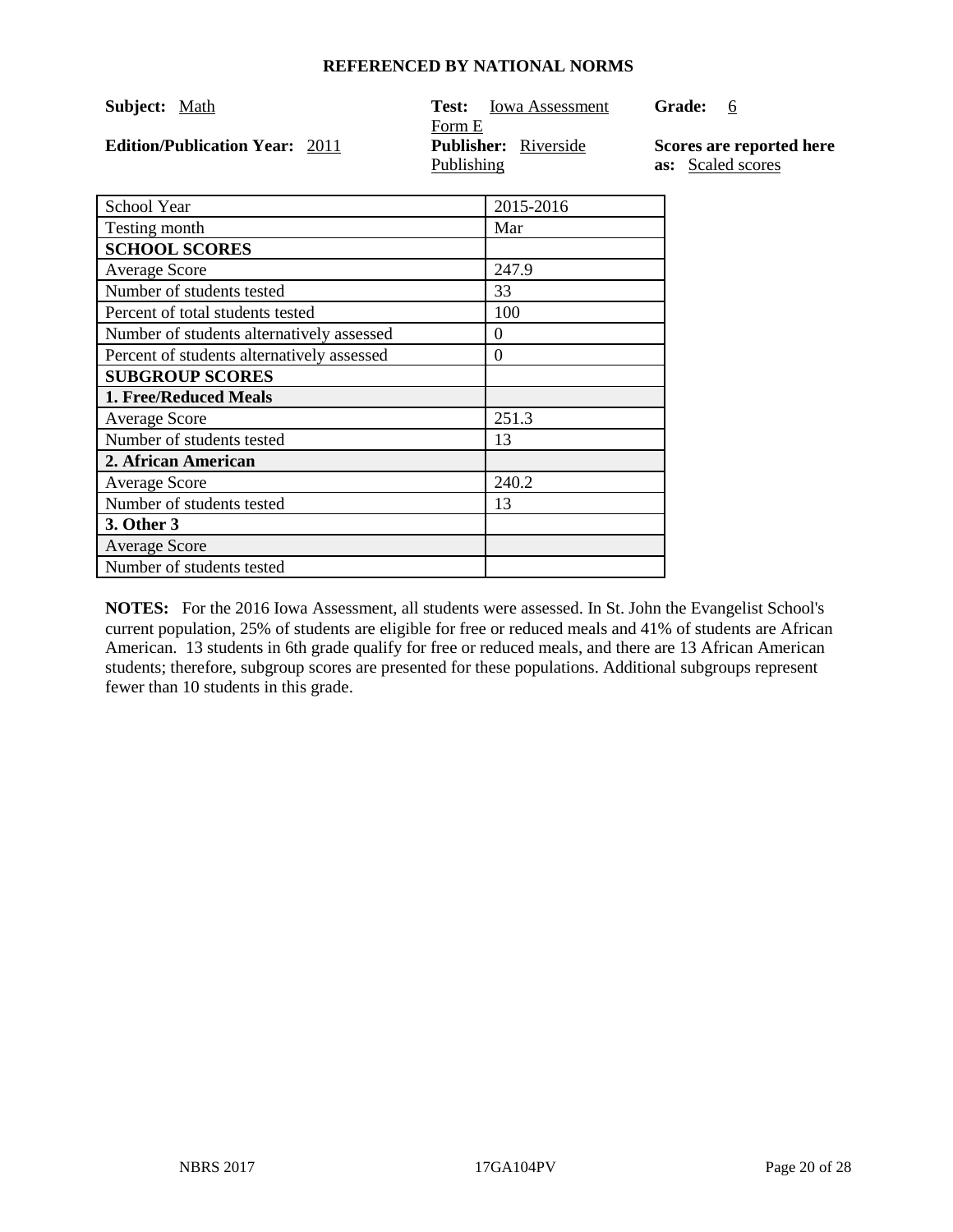| Subject: Math                         | Iowa Assessment<br>Test:    | <b>Grade:</b><br>-6      |
|---------------------------------------|-----------------------------|--------------------------|
|                                       | Form E                      |                          |
| <b>Edition/Publication Year: 2011</b> | <b>Publisher:</b> Riverside | Scores are reported here |
|                                       | Publishing                  | as: Scaled scores        |

| School Year                                | 2015-2016 |
|--------------------------------------------|-----------|
| Testing month                              | Mar       |
| <b>SCHOOL SCORES</b>                       |           |
| <b>Average Score</b>                       | 247.9     |
| Number of students tested                  | 33        |
| Percent of total students tested           | 100       |
| Number of students alternatively assessed  | $\Omega$  |
| Percent of students alternatively assessed | 0         |
| <b>SUBGROUP SCORES</b>                     |           |
| <b>1. Free/Reduced Meals</b>               |           |
| <b>Average Score</b>                       | 251.3     |
| Number of students tested                  | 13        |
| 2. African American                        |           |
| <b>Average Score</b>                       | 240.2     |
| Number of students tested                  | 13        |
| 3. Other 3                                 |           |
| <b>Average Score</b>                       |           |
| Number of students tested                  |           |

**NOTES:** For the 2016 Iowa Assessment, all students were assessed. In St. John the Evangelist School's current population, 25% of students are eligible for free or reduced meals and 41% of students are African American. 13 students in 6th grade qualify for free or reduced meals, and there are 13 African American students; therefore, subgroup scores are presented for these populations. Additional subgroups represent fewer than 10 students in this grade.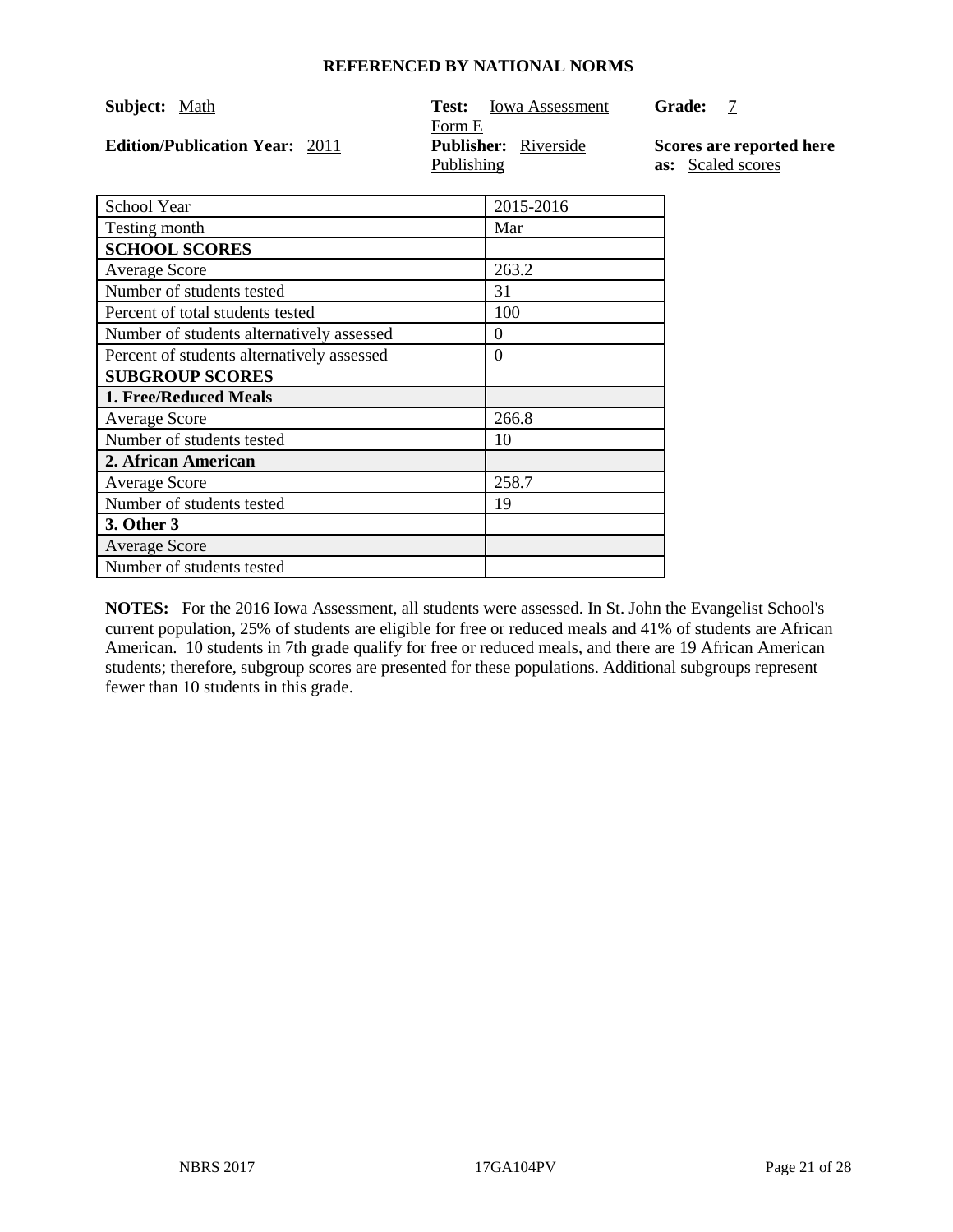| Subject: Math                         | <b>Iowa Assessment</b><br>Test: | <b>Grade:</b>            |
|---------------------------------------|---------------------------------|--------------------------|
|                                       | Form E                          |                          |
| <b>Edition/Publication Year: 2011</b> | <b>Publisher:</b> Riverside     | Scores are reported here |
|                                       | Publishing                      | as: Scaled scores        |

| School Year                                | 2015-2016 |
|--------------------------------------------|-----------|
| Testing month                              | Mar       |
| <b>SCHOOL SCORES</b>                       |           |
| <b>Average Score</b>                       | 263.2     |
| Number of students tested                  | 31        |
| Percent of total students tested           | 100       |
| Number of students alternatively assessed  | $\Omega$  |
| Percent of students alternatively assessed | 0         |
| <b>SUBGROUP SCORES</b>                     |           |
| <b>1. Free/Reduced Meals</b>               |           |
| <b>Average Score</b>                       | 266.8     |
| Number of students tested                  | 10        |
| 2. African American                        |           |
| <b>Average Score</b>                       | 258.7     |
| Number of students tested                  | 19        |
| 3. Other 3                                 |           |
| <b>Average Score</b>                       |           |
| Number of students tested                  |           |

**NOTES:** For the 2016 Iowa Assessment, all students were assessed. In St. John the Evangelist School's current population, 25% of students are eligible for free or reduced meals and 41% of students are African American. 10 students in 7th grade qualify for free or reduced meals, and there are 19 African American students; therefore, subgroup scores are presented for these populations. Additional subgroups represent fewer than 10 students in this grade.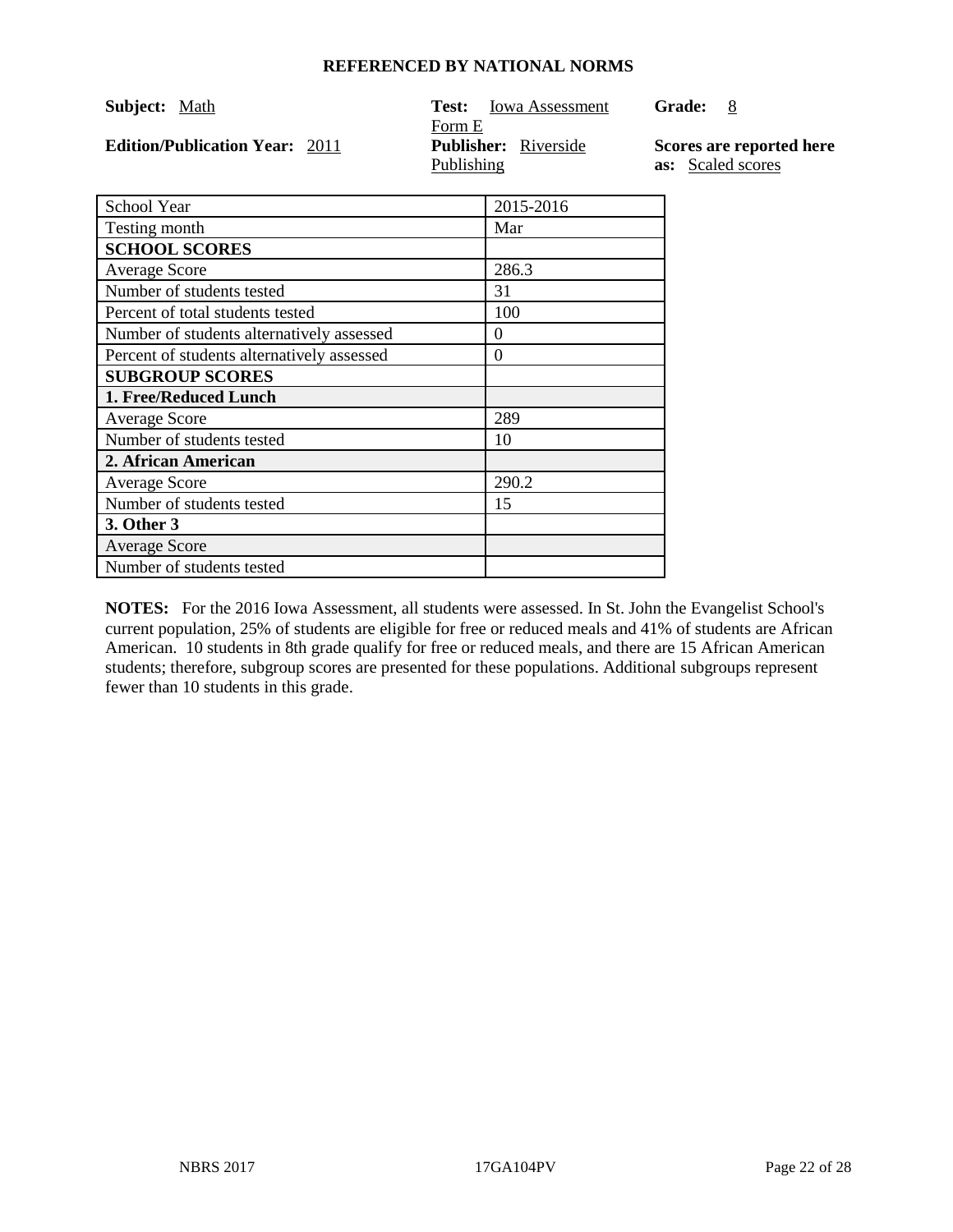| <b>Subject:</b> Math                  | <b>Iowa Assessment</b><br>Test: | <b>Grade:</b><br>- 8     |
|---------------------------------------|---------------------------------|--------------------------|
|                                       | Form E                          |                          |
| <b>Edition/Publication Year: 2011</b> | <b>Publisher:</b> Riverside     | Scores are reported here |
|                                       | Publishing                      | <b>as:</b> Scaled scores |

| School Year                                | 2015-2016 |
|--------------------------------------------|-----------|
| Testing month                              | Mar       |
| <b>SCHOOL SCORES</b>                       |           |
| <b>Average Score</b>                       | 286.3     |
| Number of students tested                  | 31        |
| Percent of total students tested           | 100       |
| Number of students alternatively assessed  | $\Omega$  |
| Percent of students alternatively assessed | 0         |
| <b>SUBGROUP SCORES</b>                     |           |
| 1. Free/Reduced Lunch                      |           |
| <b>Average Score</b>                       | 289       |
| Number of students tested                  | 10        |
| 2. African American                        |           |
| <b>Average Score</b>                       | 290.2     |
| Number of students tested                  | 15        |
| 3. Other 3                                 |           |
| <b>Average Score</b>                       |           |
| Number of students tested                  |           |

**NOTES:** For the 2016 Iowa Assessment, all students were assessed. In St. John the Evangelist School's current population, 25% of students are eligible for free or reduced meals and 41% of students are African American. 10 students in 8th grade qualify for free or reduced meals, and there are 15 African American students; therefore, subgroup scores are presented for these populations. Additional subgroups represent fewer than 10 students in this grade.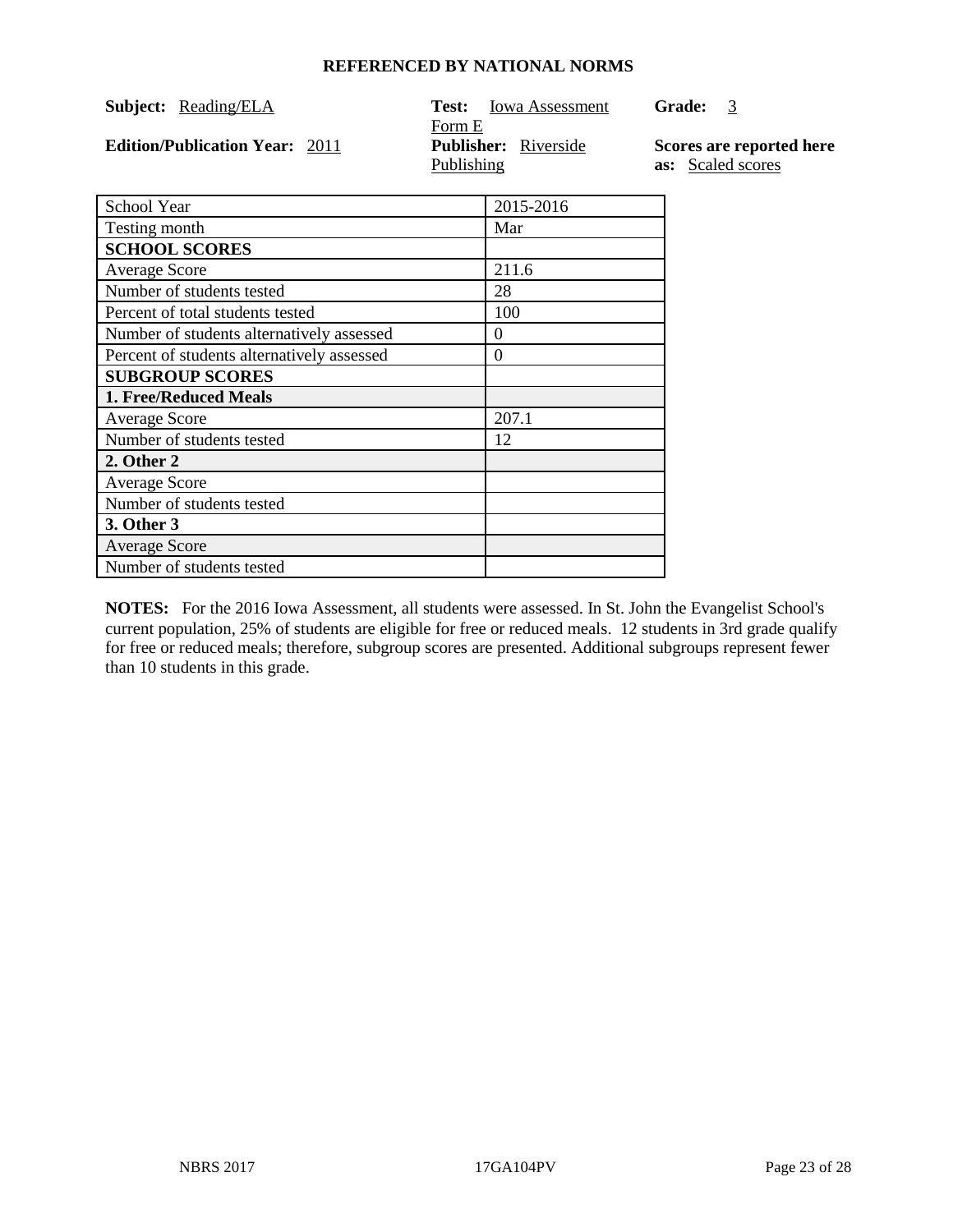| <b>Subject:</b> Reading/ELA           | <b>Iowa Assessment</b><br>Test:<br>Form E | <b>Grade:</b><br>-3                           |
|---------------------------------------|-------------------------------------------|-----------------------------------------------|
| <b>Edition/Publication Year: 2011</b> | <b>Publisher:</b> Riverside<br>Publishing | Scores are reported here<br>as: Scaled scores |
| - School Year                         | 2015-2016                                 |                                               |

| <b>SCHOOL LEAL</b>                         | 2013-2010 |
|--------------------------------------------|-----------|
| Testing month                              | Mar       |
| <b>SCHOOL SCORES</b>                       |           |
| <b>Average Score</b>                       | 211.6     |
| Number of students tested                  | 28        |
| Percent of total students tested           | 100       |
| Number of students alternatively assessed  | $\theta$  |
| Percent of students alternatively assessed | $\theta$  |
| <b>SUBGROUP SCORES</b>                     |           |
| 1. Free/Reduced Meals                      |           |
| <b>Average Score</b>                       | 207.1     |
| Number of students tested                  | 12        |
| 2. Other 2                                 |           |
| <b>Average Score</b>                       |           |
| Number of students tested                  |           |
| 3. Other 3                                 |           |
| <b>Average Score</b>                       |           |
| Number of students tested                  |           |

**NOTES:** For the 2016 Iowa Assessment, all students were assessed. In St. John the Evangelist School's current population, 25% of students are eligible for free or reduced meals. 12 students in 3rd grade qualify for free or reduced meals; therefore, subgroup scores are presented. Additional subgroups represent fewer than 10 students in this grade.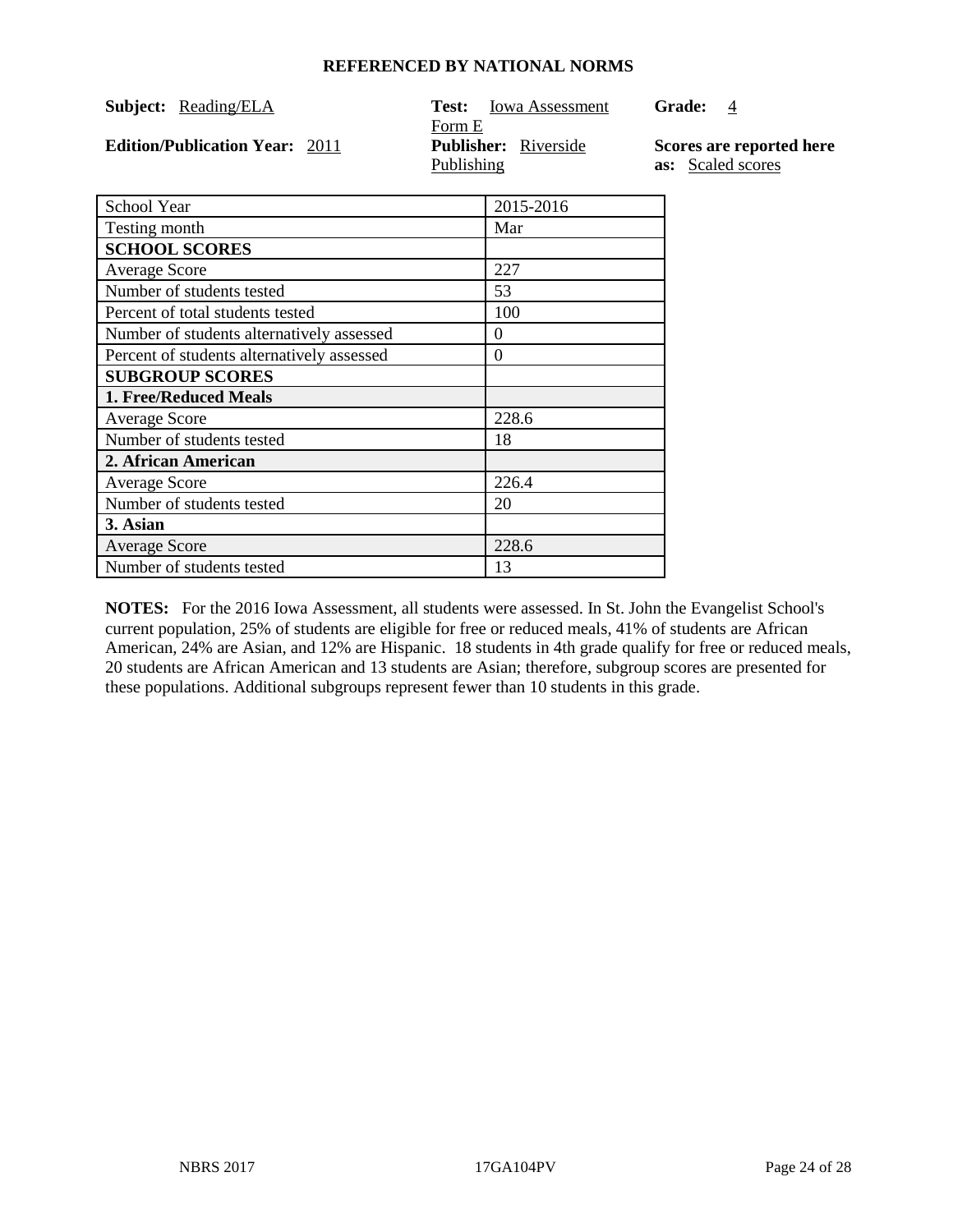| <b>Subject:</b> Reading/ELA           | <b>Iowa Assessment</b><br>Test:<br>Form E | <b>Grade:</b><br>4                            |
|---------------------------------------|-------------------------------------------|-----------------------------------------------|
| <b>Edition/Publication Year: 2011</b> | <b>Publisher:</b> Riverside<br>Publishing | Scores are reported here<br>as: Scaled scores |
| School Year                           | 2015-2016                                 |                                               |

| DUNUU TUU                                  | 201JZU1U |
|--------------------------------------------|----------|
| Testing month                              | Mar      |
| <b>SCHOOL SCORES</b>                       |          |
| <b>Average Score</b>                       | 227      |
| Number of students tested                  | 53       |
| Percent of total students tested           | 100      |
| Number of students alternatively assessed  | $\theta$ |
| Percent of students alternatively assessed | $\Omega$ |
| <b>SUBGROUP SCORES</b>                     |          |
| 1. Free/Reduced Meals                      |          |
| <b>Average Score</b>                       | 228.6    |
| Number of students tested                  | 18       |
| 2. African American                        |          |
| <b>Average Score</b>                       | 226.4    |
| Number of students tested                  | 20       |
| 3. Asian                                   |          |
| <b>Average Score</b>                       | 228.6    |
| Number of students tested                  | 13       |
|                                            |          |

**NOTES:** For the 2016 Iowa Assessment, all students were assessed. In St. John the Evangelist School's current population, 25% of students are eligible for free or reduced meals, 41% of students are African American, 24% are Asian, and 12% are Hispanic. 18 students in 4th grade qualify for free or reduced meals, 20 students are African American and 13 students are Asian; therefore, subgroup scores are presented for these populations. Additional subgroups represent fewer than 10 students in this grade.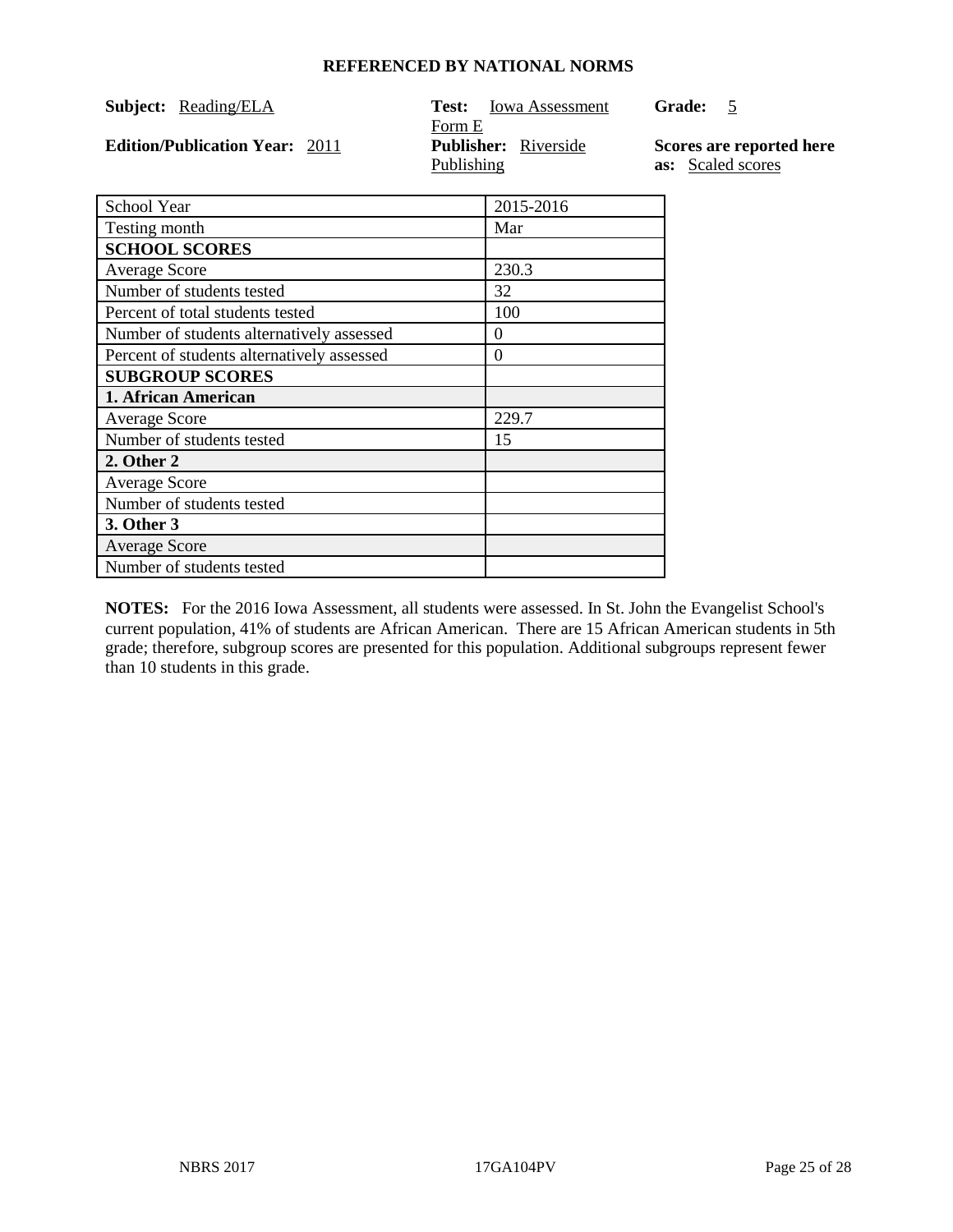| <b>Subject:</b> Reading/ELA           | Test:<br><b>Iowa Assessment</b><br>Form E | <b>Grade:</b><br>$\overline{\phantom{a}}$     |
|---------------------------------------|-------------------------------------------|-----------------------------------------------|
| <b>Edition/Publication Year: 2011</b> | <b>Publisher:</b> Riverside<br>Publishing | Scores are reported here<br>as: Scaled scores |
| School Year                           | 2015-2016                                 |                                               |

| DUNUU TUU                                  | 2019-2010 |
|--------------------------------------------|-----------|
| Testing month                              | Mar       |
| <b>SCHOOL SCORES</b>                       |           |
| <b>Average Score</b>                       | 230.3     |
| Number of students tested                  | 32        |
| Percent of total students tested           | 100       |
| Number of students alternatively assessed  | $\Omega$  |
| Percent of students alternatively assessed | $\Omega$  |
| <b>SUBGROUP SCORES</b>                     |           |
| 1. African American                        |           |
| <b>Average Score</b>                       | 229.7     |
| Number of students tested                  | 15        |
| 2. Other 2                                 |           |
| <b>Average Score</b>                       |           |
| Number of students tested                  |           |
| 3. Other 3                                 |           |
| <b>Average Score</b>                       |           |
| Number of students tested                  |           |
|                                            |           |

**NOTES:** For the 2016 Iowa Assessment, all students were assessed. In St. John the Evangelist School's current population, 41% of students are African American. There are 15 African American students in 5th grade; therefore, subgroup scores are presented for this population. Additional subgroups represent fewer than 10 students in this grade.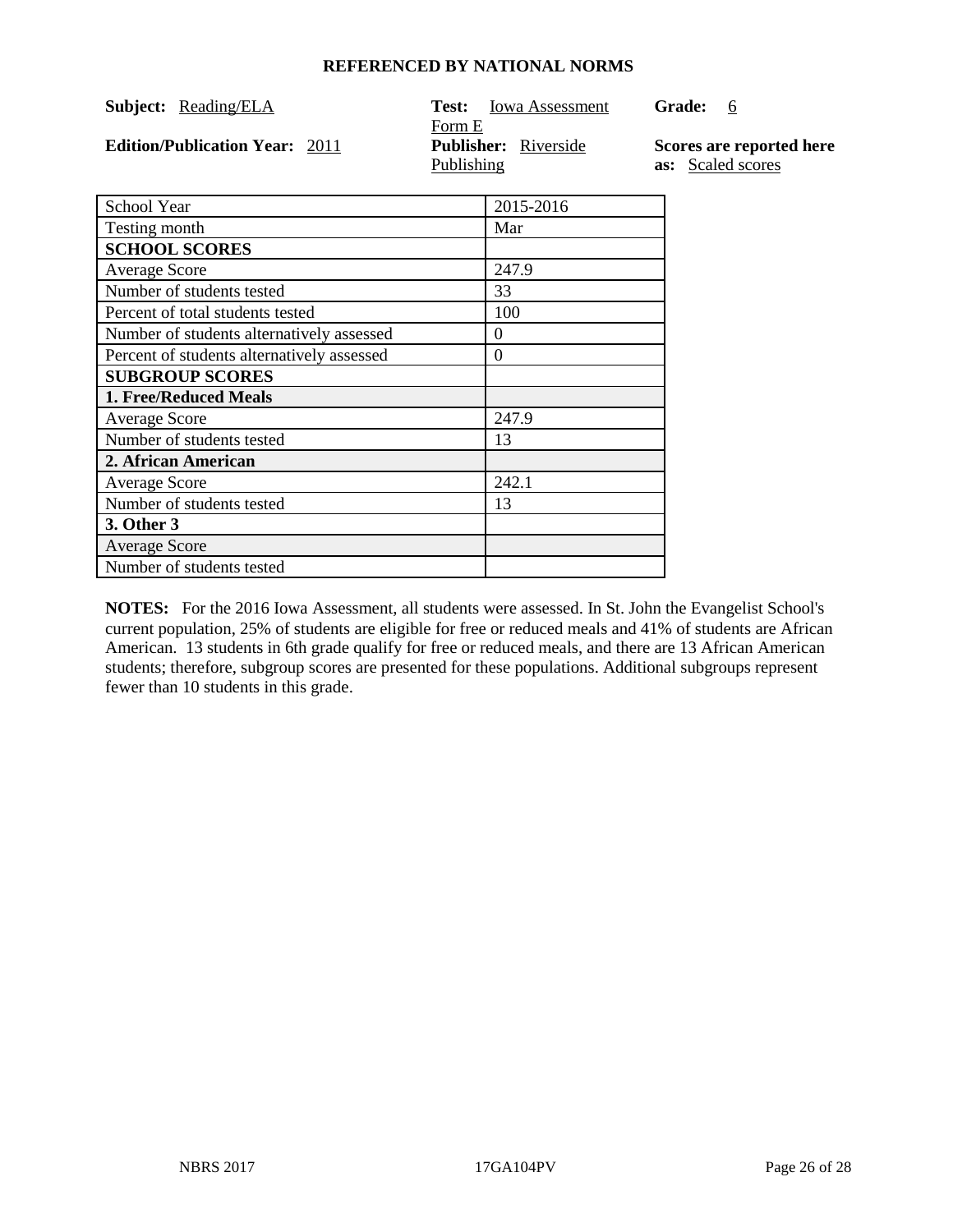| <b>Subject:</b> Reading/ELA                        | <b>Iowa Assessment</b><br>Test:                     | <b>Grade:</b><br>-6                           |
|----------------------------------------------------|-----------------------------------------------------|-----------------------------------------------|
| <b>Edition/Publication Year: 2011</b>              | Form E<br><b>Publisher:</b> Riverside<br>Publishing | Scores are reported here<br>as: Scaled scores |
| $\mathcal{L}_{\alpha}$ chool $\mathbf{V}_{\alpha}$ | 20152016                                            |                                               |

| School Year                                | 2015-2016 |
|--------------------------------------------|-----------|
| Testing month                              | Mar       |
| <b>SCHOOL SCORES</b>                       |           |
| <b>Average Score</b>                       | 247.9     |
| Number of students tested                  | 33        |
| Percent of total students tested           | 100       |
| Number of students alternatively assessed  | $\theta$  |
| Percent of students alternatively assessed | $\Omega$  |
| <b>SUBGROUP SCORES</b>                     |           |
| 1. Free/Reduced Meals                      |           |
| <b>Average Score</b>                       | 247.9     |
| Number of students tested                  | 13        |
| 2. African American                        |           |
| <b>Average Score</b>                       | 242.1     |
| Number of students tested                  | 13        |
| 3. Other 3                                 |           |
| <b>Average Score</b>                       |           |
| Number of students tested                  |           |

**NOTES:** For the 2016 Iowa Assessment, all students were assessed. In St. John the Evangelist School's current population, 25% of students are eligible for free or reduced meals and 41% of students are African American. 13 students in 6th grade qualify for free or reduced meals, and there are 13 African American students; therefore, subgroup scores are presented for these populations. Additional subgroups represent fewer than 10 students in this grade.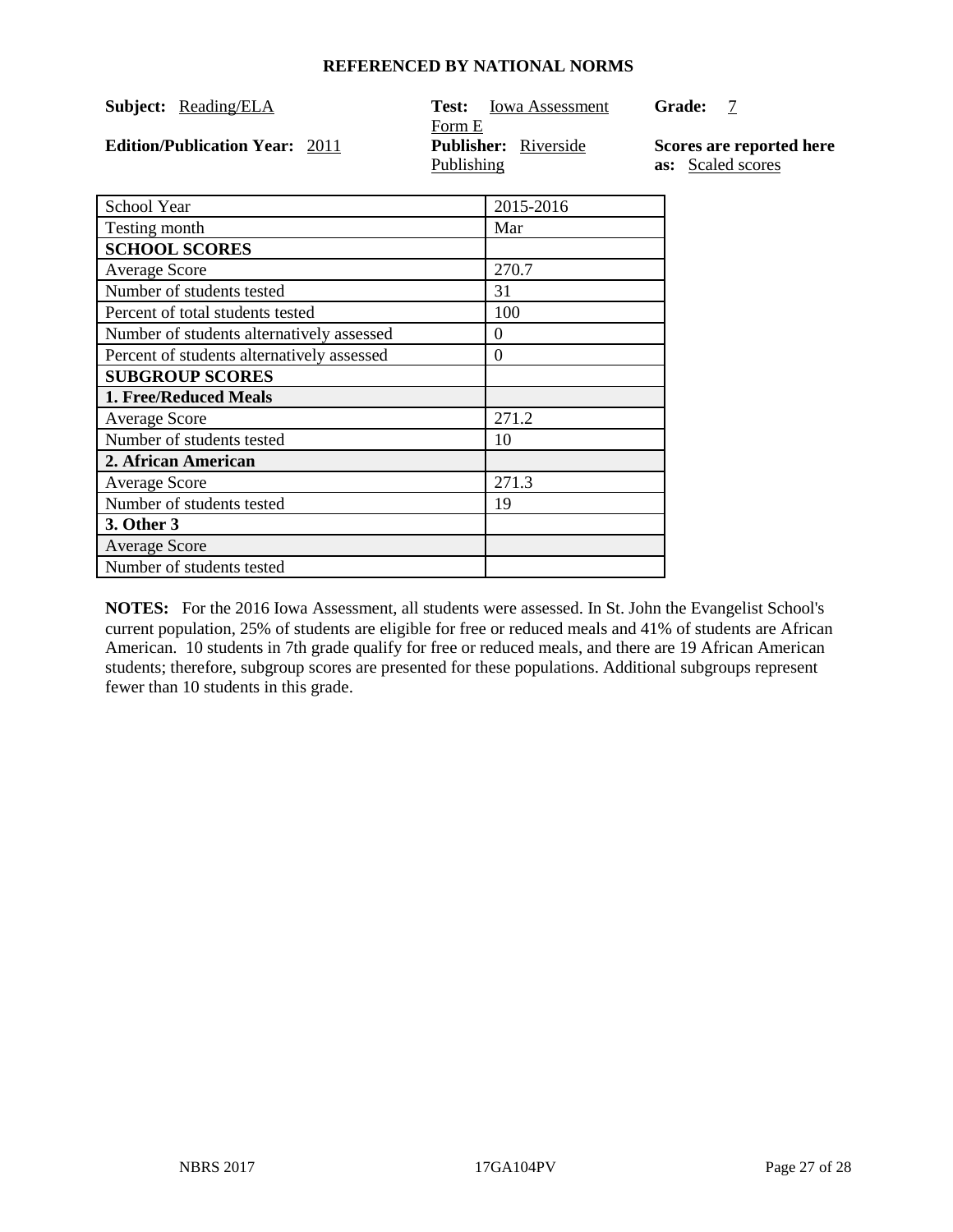| <b>Subject:</b> Reading/ELA           | <b>Iowa Assessment</b><br>Test:<br>Form E | <b>Grade:</b>                            |
|---------------------------------------|-------------------------------------------|------------------------------------------|
| <b>Edition/Publication Year: 2011</b> | <b>Publisher:</b> Riverside<br>Publishing | Scores are reported<br>as: Scaled scores |
| School Year                           | 2015-2016                                 |                                          |

| Testing month                              | Mar      |
|--------------------------------------------|----------|
| <b>SCHOOL SCORES</b>                       |          |
| <b>Average Score</b>                       | 270.7    |
| Number of students tested                  | 31       |
| Percent of total students tested           | 100      |
| Number of students alternatively assessed  | $\Omega$ |
| Percent of students alternatively assessed | $\Omega$ |
| <b>SUBGROUP SCORES</b>                     |          |
| 1. Free/Reduced Meals                      |          |
| <b>Average Score</b>                       | 271.2    |
| Number of students tested                  | 10       |
| 2. African American                        |          |
| <b>Average Score</b>                       | 271.3    |
| Number of students tested                  | 19       |
| 3. Other 3                                 |          |
| <b>Average Score</b>                       |          |
| Number of students tested                  |          |

**NOTES:** For the 2016 Iowa Assessment, all students were assessed. In St. John the Evangelist School's current population, 25% of students are eligible for free or reduced meals and 41% of students are African American. 10 students in 7th grade qualify for free or reduced meals, and there are 19 African American students; therefore, subgroup scores are presented for these populations. Additional subgroups represent fewer than 10 students in this grade.

here